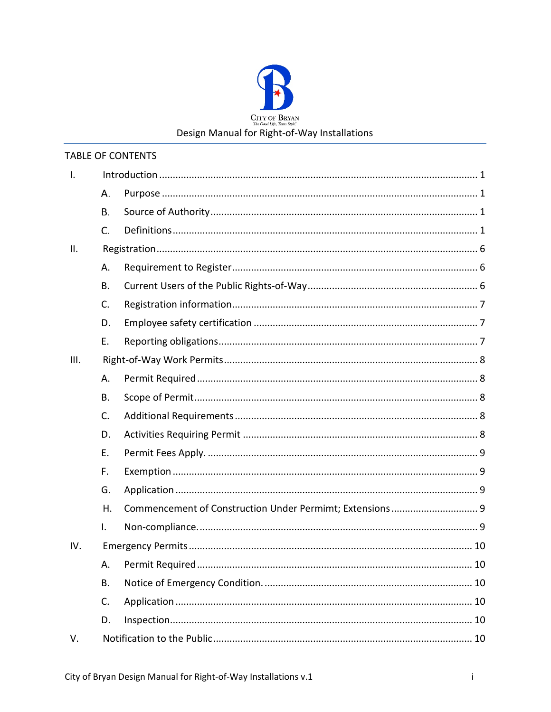

# TABLE OF CONTENTS

| $\mathsf{I}$ . |              |    |
|----------------|--------------|----|
|                | А.           |    |
|                | В.           |    |
|                | C.           |    |
| II.            |              |    |
|                | Α.           |    |
|                | <b>B.</b>    |    |
|                | C.           |    |
|                | D.           |    |
|                | Ε.           |    |
| III.           |              |    |
|                | А.           |    |
|                | B.           |    |
|                | C.           |    |
|                | D.           |    |
|                | Ε.           |    |
|                | F.           |    |
|                | G.           |    |
|                | Η.           |    |
|                | $\mathsf{L}$ |    |
| IV.            |              |    |
|                | А.           | 10 |
|                | В.           |    |
|                | C.           |    |
|                | D.           |    |
| V.             |              |    |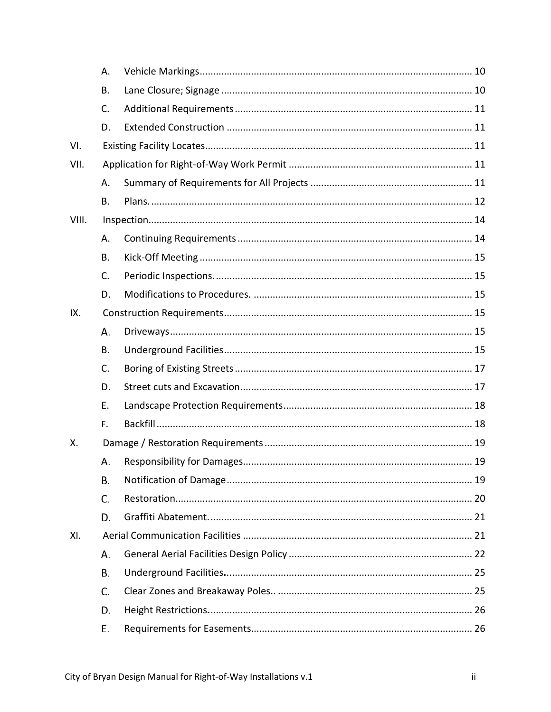|       | А.        |  |
|-------|-----------|--|
|       | Β.        |  |
|       | C.        |  |
|       | D.        |  |
| VI.   |           |  |
| VII.  |           |  |
|       | Α.        |  |
|       | <b>B.</b> |  |
| VIII. |           |  |
|       | Α.        |  |
|       | В.        |  |
|       | C.        |  |
|       | D.        |  |
| IX.   |           |  |
|       | А.        |  |
|       | <b>B.</b> |  |
|       | C.        |  |
|       | D.        |  |
|       | Ε.        |  |
|       | F.        |  |
| Χ.    |           |  |
|       | А.        |  |
|       | В.        |  |
|       | C.        |  |
|       | D.        |  |
| XI.   |           |  |
|       | А.        |  |
|       | В.        |  |
|       | C.        |  |
|       | D.        |  |
|       | Ε.        |  |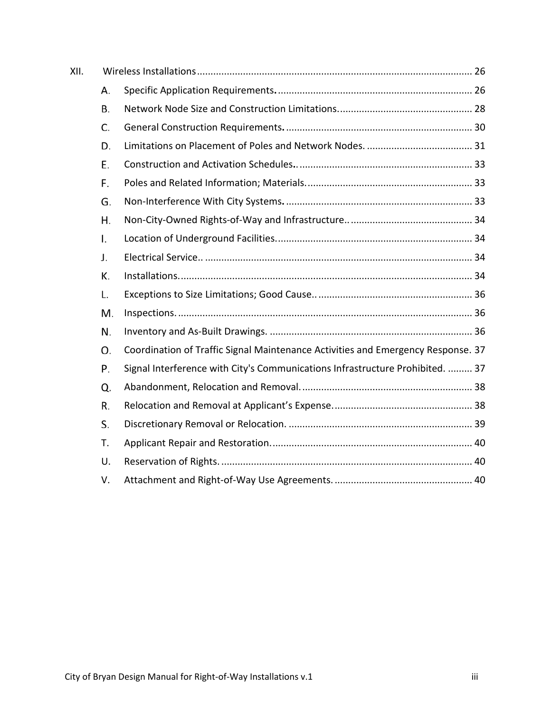| XII. |    |                                                                                  |  |
|------|----|----------------------------------------------------------------------------------|--|
|      | А. |                                                                                  |  |
|      | Β. |                                                                                  |  |
|      | C. |                                                                                  |  |
|      | D. |                                                                                  |  |
|      | Ε. |                                                                                  |  |
|      | F. |                                                                                  |  |
|      | G. |                                                                                  |  |
|      | Η. |                                                                                  |  |
|      | Ι. |                                                                                  |  |
|      | J. |                                                                                  |  |
|      | К. |                                                                                  |  |
|      | L. |                                                                                  |  |
|      | M. |                                                                                  |  |
|      | N. |                                                                                  |  |
|      | Ο. | Coordination of Traffic Signal Maintenance Activities and Emergency Response. 37 |  |
|      | P. | Signal Interference with City's Communications Infrastructure Prohibited.  37    |  |
|      | Q. |                                                                                  |  |
|      | R. |                                                                                  |  |
|      | S. |                                                                                  |  |
|      | T. |                                                                                  |  |
|      | U. |                                                                                  |  |
|      | V. |                                                                                  |  |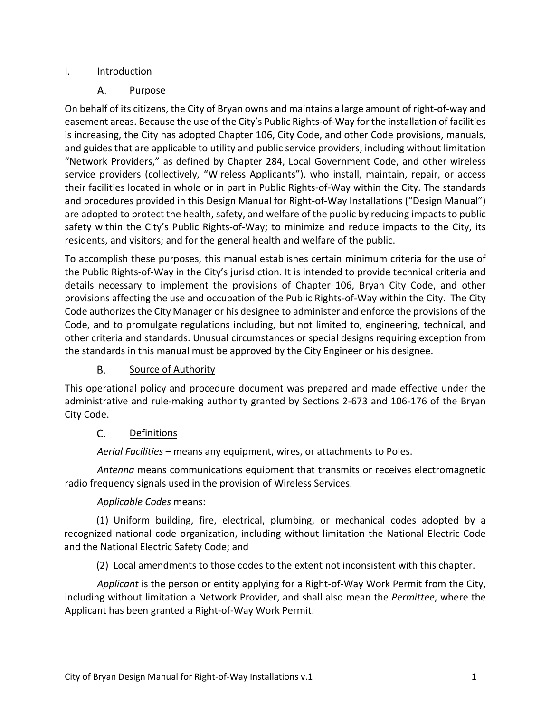## <span id="page-3-1"></span>I. Introduction

### <span id="page-3-0"></span>А. Purpose

On behalf of its citizens, the City of Bryan owns and maintains a large amount of right-of-way and easement areas. Because the use of the City's Public Rights-of-Way for the installation of facilities is increasing, the City has adopted Chapter 106, City Code, and other Code provisions, manuals, and guides that are applicable to utility and public service providers, including without limitation "Network Providers," as defined by Chapter 284, Local Government Code, and other wireless service providers (collectively, "Wireless Applicants"), who install, maintain, repair, or access their facilities located in whole or in part in Public Rights-of-Way within the City. The standards and procedures provided in this Design Manual for Right-of-Way Installations ("Design Manual") are adopted to protect the health, safety, and welfare of the public by reducing impacts to public safety within the City's Public Rights-of-Way; to minimize and reduce impacts to the City, its residents, and visitors; and for the general health and welfare of the public.

To accomplish these purposes, this manual establishes certain minimum criteria for the use of the Public Rights-of-Way in the City's jurisdiction. It is intended to provide technical criteria and details necessary to implement the provisions of Chapter 106, Bryan City Code, and other provisions affecting the use and occupation of the Public Rights-of-Way within the City. The City Code authorizes the City Manager or his designee to administer and enforce the provisions of the Code, and to promulgate regulations including, but not limited to, engineering, technical, and other criteria and standards. Unusual circumstances or special designs requiring exception from the standards in this manual must be approved by the City Engineer or his designee.

#### **B.** Source of Authority

<span id="page-3-2"></span>This operational policy and procedure document was prepared and made effective under the administrative and rule-making authority granted by Sections 2-673 and 106-176 of the Bryan City Code.

#### <span id="page-3-3"></span>C. Definitions

*Aerial Facilities –* means any equipment, wires, or attachments to Poles.

*Antenna* means communications equipment that transmits or receives electromagnetic radio frequency signals used in the provision of Wireless Services.

# *Applicable Codes* means:

(1) Uniform building, fire, electrical, plumbing, or mechanical codes adopted by a recognized national code organization, including without limitation the National Electric Code and the National Electric Safety Code; and

(2) Local amendments to those codes to the extent not inconsistent with this chapter.

*Applicant* is the person or entity applying for a Right-of-Way Work Permit from the City, including without limitation a Network Provider, and shall also mean the *Permittee*, where the Applicant has been granted a Right-of-Way Work Permit.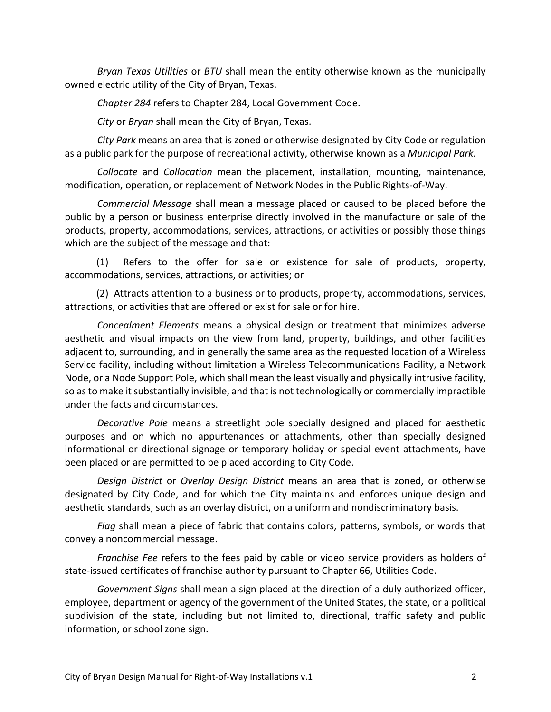*Bryan Texas Utilities* or *BTU* shall mean the entity otherwise known as the municipally owned electric utility of the City of Bryan, Texas.

*Chapter 284* refers to Chapter 284, Local Government Code.

*City* or *Bryan* shall mean the City of Bryan, Texas.

*City Park* means an area that is zoned or otherwise designated by City Code or regulation as a public park for the purpose of recreational activity, otherwise known as a *Municipal Park*.

*Collocate* and *Collocation* mean the placement, installation, mounting, maintenance, modification, operation, or replacement of Network Nodes in the Public Rights-of-Way.

*Commercial Message* shall mean a message placed or caused to be placed before the public by a person or business enterprise directly involved in the manufacture or sale of the products, property, accommodations, services, attractions, or activities or possibly those things which are the subject of the message and that:

(1) Refers to the offer for sale or existence for sale of products, property, accommodations, services, attractions, or activities; or

(2) Attracts attention to a business or to products, property, accommodations, services, attractions, or activities that are offered or exist for sale or for hire.

*Concealment Elements* means a physical design or treatment that minimizes adverse aesthetic and visual impacts on the view from land, property, buildings, and other facilities adjacent to, surrounding, and in generally the same area as the requested location of a Wireless Service facility, including without limitation a Wireless Telecommunications Facility, a Network Node, or a Node Support Pole, which shall mean the least visually and physically intrusive facility, so as to make it substantially invisible, and that is not technologically or commercially impractible under the facts and circumstances.

*Decorative Pole* means a streetlight pole specially designed and placed for aesthetic purposes and on which no appurtenances or attachments, other than specially designed informational or directional signage or temporary holiday or special event attachments, have been placed or are permitted to be placed according to City Code.

*Design District* or *Overlay Design District* means an area that is zoned, or otherwise designated by City Code, and for which the City maintains and enforces unique design and aesthetic standards, such as an overlay district, on a uniform and nondiscriminatory basis.

*Flag* shall mean a piece of fabric that contains colors, patterns, symbols, or words that convey a noncommercial message.

*Franchise Fee* refers to the fees paid by cable or video service providers as holders of state-issued certificates of franchise authority pursuant to Chapter 66, Utilities Code.

*Government Signs* shall mean a sign placed at the direction of a duly authorized officer, employee, department or agency of the government of the United States, the state, or a political subdivision of the state, including but not limited to, directional, traffic safety and public information, or school zone sign.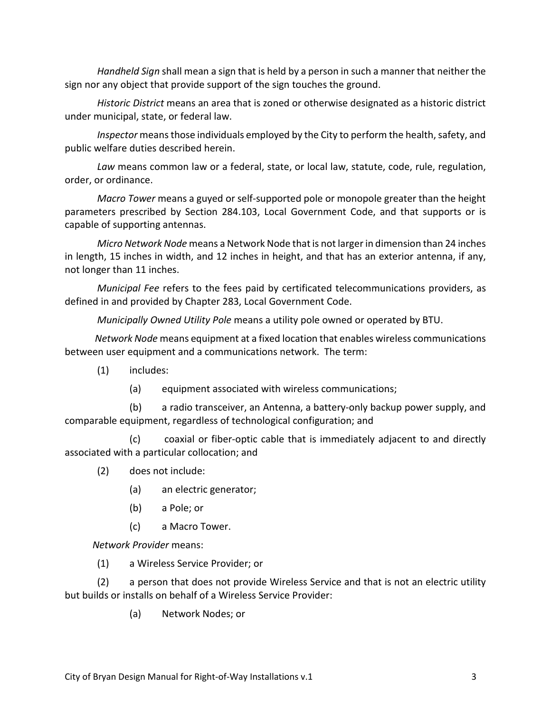*Handheld Sign* shall mean a sign that is held by a person in such a manner that neither the sign nor any object that provide support of the sign touches the ground.

*Historic District* means an area that is zoned or otherwise designated as a historic district under municipal, state, or federal law.

*Inspector* meansthose individuals employed by the City to perform the health, safety, and public welfare duties described herein.

*Law* means common law or a federal, state, or local law, statute, code, rule, regulation, order, or ordinance.

*Macro Tower* means a guyed or self-supported pole or monopole greater than the height parameters prescribed by Section 284.103, Local Government Code, and that supports or is capable of supporting antennas.

*Micro Network Node* means a Network Node that is not larger in dimension than 24 inches in length, 15 inches in width, and 12 inches in height, and that has an exterior antenna, if any, not longer than 11 inches.

*Municipal Fee* refers to the fees paid by certificated telecommunications providers, as defined in and provided by Chapter 283, Local Government Code.

*Municipally Owned Utility Pole* means a utility pole owned or operated by BTU.

*Network Node* means equipment at a fixed location that enables wireless communications between user equipment and a communications network. The term:

- (1) includes:
	- (a) equipment associated with wireless communications;

(b) a radio transceiver, an Antenna, a battery-only backup power supply, and comparable equipment, regardless of technological configuration; and

(c) coaxial or fiber-optic cable that is immediately adjacent to and directly associated with a particular collocation; and

(2) does not include:

- (a) an electric generator;
- (b) a Pole; or
- (c) a Macro Tower.

*Network Provider* means:

(1) a Wireless Service Provider; or

(2) a person that does not provide Wireless Service and that is not an electric utility but builds or installs on behalf of a Wireless Service Provider:

(a) Network Nodes; or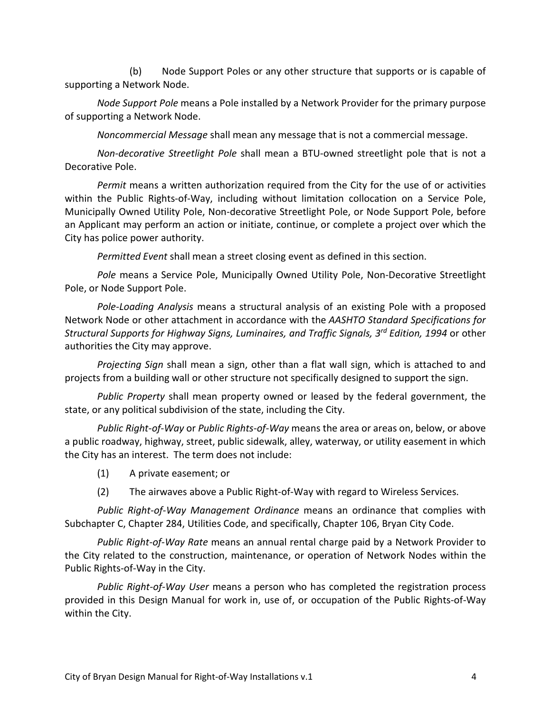(b) Node Support Poles or any other structure that supports or is capable of supporting a Network Node.

*Node Support Pole* means a Pole installed by a Network Provider for the primary purpose of supporting a Network Node.

*Noncommercial Message* shall mean any message that is not a commercial message.

*Non-decorative Streetlight Pole* shall mean a BTU-owned streetlight pole that is not a Decorative Pole.

*Permit* means a written authorization required from the City for the use of or activities within the Public Rights-of-Way, including without limitation collocation on a Service Pole, Municipally Owned Utility Pole, Non-decorative Streetlight Pole, or Node Support Pole, before an Applicant may perform an action or initiate, continue, or complete a project over which the City has police power authority.

*Permitted Event* shall mean a street closing event as defined in this section.

*Pole* means a Service Pole, Municipally Owned Utility Pole, Non-Decorative Streetlight Pole, or Node Support Pole.

*Pole-Loading Analysis* means a structural analysis of an existing Pole with a proposed Network Node or other attachment in accordance with the *AASHTO Standard Specifications for Structural Supports for Highway Signs, Luminaires, and Traffic Signals, 3rd Edition, 1994* or other authorities the City may approve.

*Projecting Sign* shall mean a sign, other than a flat wall sign, which is attached to and projects from a building wall or other structure not specifically designed to support the sign.

*Public Property* shall mean property owned or leased by the federal government, the state, or any political subdivision of the state, including the City.

*Public Right-of-Way* or *Public Rights-of-Way* means the area or areas on, below, or above a public roadway, highway, street, public sidewalk, alley, waterway, or utility easement in which the City has an interest. The term does not include:

- (1) A private easement; or
- (2) The airwaves above a Public Right-of-Way with regard to Wireless Services.

*Public Right-of-Way Management Ordinance* means an ordinance that complies with Subchapter C, Chapter 284, Utilities Code, and specifically, Chapter 106, Bryan City Code.

*Public Right-of-Way Rate* means an annual rental charge paid by a Network Provider to the City related to the construction, maintenance, or operation of Network Nodes within the Public Rights-of-Way in the City.

*Public Right-of-Way User* means a person who has completed the registration process provided in this Design Manual for work in, use of, or occupation of the Public Rights-of-Way within the City.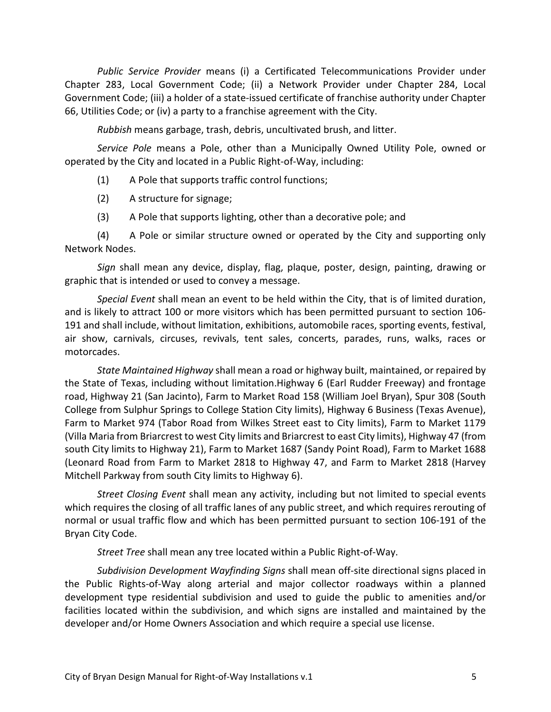*Public Service Provider* means (i) a Certificated Telecommunications Provider under Chapter 283, Local Government Code; (ii) a Network Provider under Chapter 284, Local Government Code; (iii) a holder of a state-issued certificate of franchise authority under Chapter 66, Utilities Code; or (iv) a party to a franchise agreement with the City.

*Rubbish* means garbage, trash, debris, uncultivated brush, and litter.

*Service Pole* means a Pole, other than a Municipally Owned Utility Pole, owned or operated by the City and located in a Public Right-of-Way, including:

(1) A Pole that supports traffic control functions;

(2) A structure for signage;

(3) A Pole that supports lighting, other than a decorative pole; and

(4) A Pole or similar structure owned or operated by the City and supporting only Network Nodes.

*Sign* shall mean any device, display, flag, plaque, poster, design, painting, drawing or graphic that is intended or used to convey a message.

*Special Event* shall mean an event to be held within the City, that is of limited duration, and is likely to attract 100 or more visitors which has been permitted pursuant to section 106- 191 and shall include, without limitation, exhibitions, automobile races, sporting events, festival, air show, carnivals, circuses, revivals, tent sales, concerts, parades, runs, walks, races or motorcades.

*State Maintained Highway* shall mean a road or highway built, maintained, or repaired by the State of Texas, including without limitation.Highway 6 (Earl Rudder Freeway) and frontage road, Highway 21 (San Jacinto), Farm to Market Road 158 (William Joel Bryan), Spur 308 (South College from Sulphur Springs to College Station City limits), Highway 6 Business (Texas Avenue), Farm to Market 974 (Tabor Road from Wilkes Street east to City limits), Farm to Market 1179 (Villa Maria from Briarcrest to west City limits and Briarcrest to east City limits), Highway 47 (from south City limits to Highway 21), Farm to Market 1687 (Sandy Point Road), Farm to Market 1688 (Leonard Road from Farm to Market 2818 to Highway 47, and Farm to Market 2818 (Harvey Mitchell Parkway from south City limits to Highway 6).

*Street Closing Event* shall mean any activity, including but not limited to special events which requires the closing of all traffic lanes of any public street, and which requires rerouting of normal or usual traffic flow and which has been permitted pursuant to section 106-191 of the Bryan City Code.

*Street Tree* shall mean any tree located within a Public Right-of-Way.

*Subdivision Development Wayfinding Signs* shall mean off-site directional signs placed in the Public Rights-of-Way along arterial and major collector roadways within a planned development type residential subdivision and used to guide the public to amenities and/or facilities located within the subdivision, and which signs are installed and maintained by the developer and/or Home Owners Association and which require a special use license.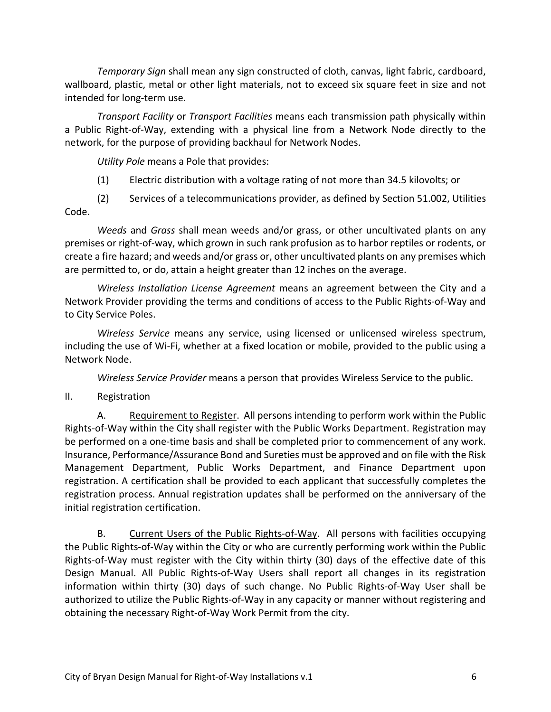*Temporary Sign* shall mean any sign constructed of cloth, canvas, light fabric, cardboard, wallboard, plastic, metal or other light materials, not to exceed six square feet in size and not intended for long-term use.

*Transport Facility* or *Transport Facilities* means each transmission path physically within a Public Right-of-Way, extending with a physical line from a Network Node directly to the network, for the purpose of providing backhaul for Network Nodes.

*Utility Pole* means a Pole that provides:

(1) Electric distribution with a voltage rating of not more than 34.5 kilovolts; or

(2) Services of a telecommunications provider, as defined by Section 51.002, Utilities Code.

*Weeds* and *Grass* shall mean weeds and/or grass, or other uncultivated plants on any premises or right-of-way, which grown in such rank profusion as to harbor reptiles or rodents, or create a fire hazard; and weeds and/or grass or, other uncultivated plants on any premises which are permitted to, or do, attain a height greater than 12 inches on the average.

*Wireless Installation License Agreement* means an agreement between the City and a Network Provider providing the terms and conditions of access to the Public Rights-of-Way and to City Service Poles.

*Wireless Service* means any service, using licensed or unlicensed wireless spectrum, including the use of Wi-Fi, whether at a fixed location or mobile, provided to the public using a Network Node.

*Wireless Service Provider* means a person that provides Wireless Service to the public.

<span id="page-8-0"></span>II. Registration

<span id="page-8-1"></span>A. Requirement to Register. All persons intending to perform work within the Public Rights-of-Way within the City shall register with the Public Works Department. Registration may be performed on a one-time basis and shall be completed prior to commencement of any work. Insurance, Performance/Assurance Bond and Sureties must be approved and on file with the Risk Management Department, Public Works Department, and Finance Department upon registration. A certification shall be provided to each applicant that successfully completes the registration process. Annual registration updates shall be performed on the anniversary of the initial registration certification.

<span id="page-8-2"></span>B. Current Users of the Public Rights-of-Way. All persons with facilities occupying the Public Rights-of-Way within the City or who are currently performing work within the Public Rights-of-Way must register with the City within thirty (30) days of the effective date of this Design Manual. All Public Rights-of-Way Users shall report all changes in its registration information within thirty (30) days of such change. No Public Rights-of-Way User shall be authorized to utilize the Public Rights-of-Way in any capacity or manner without registering and obtaining the necessary Right-of-Way Work Permit from the city.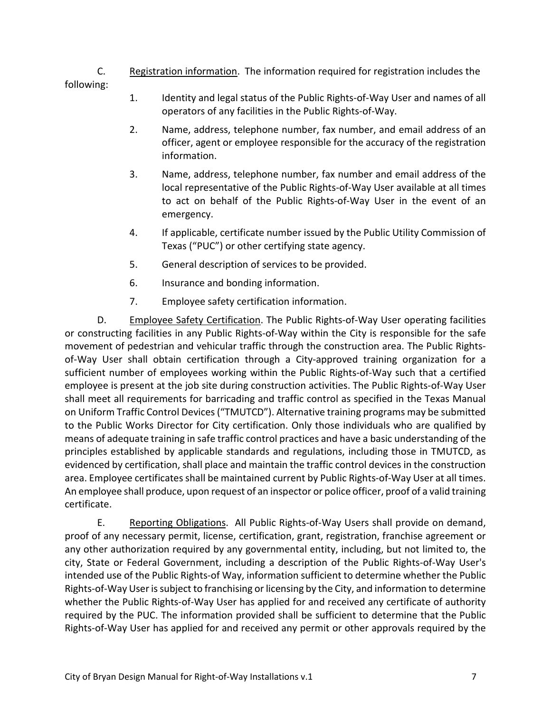<span id="page-9-0"></span>C. Registration information. The information required for registration includes the following:

- 1. Identity and legal status of the Public Rights-of-Way User and names of all operators of any facilities in the Public Rights-of-Way.
- 2. Name, address, telephone number, fax number, and email address of an officer, agent or employee responsible for the accuracy of the registration information.
- 3. Name, address, telephone number, fax number and email address of the local representative of the Public Rights-of-Way User available at all times to act on behalf of the Public Rights-of-Way User in the event of an emergency.
- 4. If applicable, certificate number issued by the Public Utility Commission of Texas ("PUC") or other certifying state agency.
- 5. General description of services to be provided.
- 6. Insurance and bonding information.
- 7. Employee safety certification information.

<span id="page-9-1"></span>D. Employee Safety Certification. The Public Rights-of-Way User operating facilities or constructing facilities in any Public Rights-of-Way within the City is responsible for the safe movement of pedestrian and vehicular traffic through the construction area. The Public Rightsof-Way User shall obtain certification through a City-approved training organization for a sufficient number of employees working within the Public Rights-of-Way such that a certified employee is present at the job site during construction activities. The Public Rights-of-Way User shall meet all requirements for barricading and traffic control as specified in the Texas Manual on Uniform Traffic Control Devices ("TMUTCD"). Alternative training programs may be submitted to the Public Works Director for City certification. Only those individuals who are qualified by means of adequate training in safe traffic control practices and have a basic understanding of the principles established by applicable standards and regulations, including those in TMUTCD, as evidenced by certification, shall place and maintain the traffic control devices in the construction area. Employee certificates shall be maintained current by Public Rights-of-Way User at all times. An employee shall produce, upon request of an inspector or police officer, proof of a valid training certificate.

<span id="page-9-2"></span>E. Reporting Obligations. All Public Rights-of-Way Users shall provide on demand, proof of any necessary permit, license, certification, grant, registration, franchise agreement or any other authorization required by any governmental entity, including, but not limited to, the city, State or Federal Government, including a description of the Public Rights-of-Way User's intended use of the Public Rights-of Way, information sufficient to determine whether the Public Rights-of-Way User is subject to franchising or licensing by the City, and information to determine whether the Public Rights-of-Way User has applied for and received any certificate of authority required by the PUC. The information provided shall be sufficient to determine that the Public Rights-of-Way User has applied for and received any permit or other approvals required by the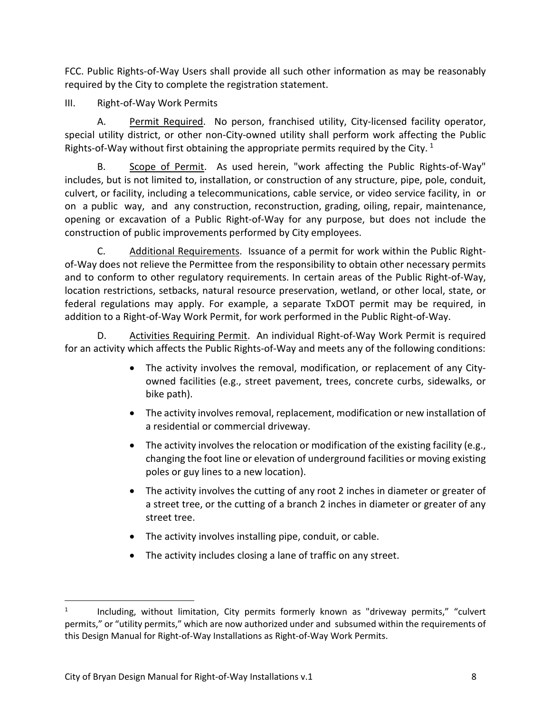FCC. Public Rights-of-Way Users shall provide all such other information as may be reasonably required by the City to complete the registration statement.

# <span id="page-10-0"></span>III. Right-of-Way Work Permits

<span id="page-10-1"></span>A. Permit Required. No person, franchised utility, City-licensed facility operator, special utility district, or other non-City-owned utility shall perform work affecting the Public Rights-of-Way without first obtaining the appropriate permits required by the City.  $1$ 

<span id="page-10-2"></span>B. Scope of Permit. As used herein, "work affecting the Public Rights-of-Way" includes, but is not limited to, installation, or construction of any structure, pipe, pole, conduit, culvert, or facility, including a telecommunications, cable service, or video service facility, in or on a public way, and any construction, reconstruction, grading, oiling, repair, maintenance, opening or excavation of a Public Right-of-Way for any purpose, but does not include the construction of public improvements performed by City employees.

<span id="page-10-3"></span>C. Additional Requirements. Issuance of a permit for work within the Public Rightof-Way does not relieve the Permittee from the responsibility to obtain other necessary permits and to conform to other regulatory requirements. In certain areas of the Public Right-of-Way, location restrictions, setbacks, natural resource preservation, wetland, or other local, state, or federal regulations may apply. For example, a separate TxDOT permit may be required, in addition to a Right-of-Way Work Permit, for work performed in the Public Right-of-Way.

<span id="page-10-4"></span>D. Activities Requiring Permit. An individual Right-of-Way Work Permit is required for an activity which affects the Public Rights-of-Way and meets any of the following conditions:

- The activity involves the removal, modification, or replacement of any Cityowned facilities (e.g., street pavement, trees, concrete curbs, sidewalks, or bike path).
- The activity involves removal, replacement, modification or new installation of a residential or commercial driveway.
- The activity involves the relocation or modification of the existing facility (e.g., changing the foot line or elevation of underground facilities or moving existing poles or guy lines to a new location).
- The activity involves the cutting of any root 2 inches in diameter or greater of a street tree, or the cutting of a branch 2 inches in diameter or greater of any street tree.
- The activity involves installing pipe, conduit, or cable.
- The activity includes closing a lane of traffic on any street.

<span id="page-10-5"></span> <sup>1</sup> Including, without limitation, City permits formerly known as "driveway permits," "culvert permits," or "utility permits," which are now authorized under and subsumed within the requirements of this Design Manual for Right-of-Way Installations as Right-of-Way Work Permits.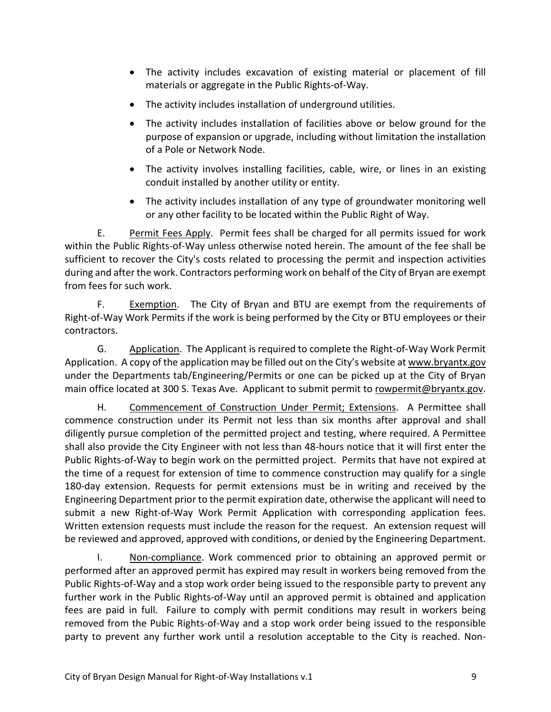- The activity includes excavation of existing material or placement of fill materials or aggregate in the Public Rights-of-Way.
- The activity includes installation of underground utilities.
- The activity includes installation of facilities above or below ground for the purpose of expansion or upgrade, including without limitation the installation of a Pole or Network Node.
- The activity involves installing facilities, cable, wire, or lines in an existing conduit installed by another utility or entity.
- The activity includes installation of any type of groundwater monitoring well or any other facility to be located within the Public Right of Way.

<span id="page-11-0"></span>E. Permit Fees Apply. Permit fees shall be charged for all permits issued for work within the Public Rights-of-Way unless otherwise noted herein. The amount of the fee shall be sufficient to recover the City's costs related to processing the permit and inspection activities during and after the work. Contractors performing work on behalf of the City of Bryan are exempt from fees for such work.

<span id="page-11-1"></span>F. Exemption. The City of Bryan and BTU are exempt from the requirements of Right-of-Way Work Permits if the work is being performed by the City or BTU employees or their contractors.

<span id="page-11-2"></span>G. Application. The Applicant is required to complete the Right-of-Way Work Permit Application. A copy of the application may be filled out on the City's website a[t www.bryantx.gov](http://www.bryantx.gov/) under the Departments tab/Engineering/Permits or one can be picked up at the City of Bryan main office located at 300 S. Texas Ave. Applicant to submit permit to rowpermit@bryantx.gov.

H. Commencement of Construction Under Permit; Extensions. A Permittee shall commence construction under its Permit not less than six months after approval and shall diligently pursue completion of the permitted project and testing, where required. A Permittee shall also provide the City Engineer with not less than 48-hours notice that it will first enter the Public Rights-of-Way to begin work on the permitted project. Permits that have not expired at the time of a request for extension of time to commence construction may qualify for a single 180-day extension. Requests for permit extensions must be in writing and received by the Engineering Department prior to the permit expiration date, otherwise the applicant will need to submit a new Right-of-Way Work Permit Application with corresponding application fees. Written extension requests must include the reason for the request. An extension request will be reviewed and approved, approved with conditions, or denied by the Engineering Department.

<span id="page-11-3"></span>I. Non-compliance. Work commenced prior to obtaining an approved permit or performed after an approved permit has expired may result in workers being removed from the Public Rights-of-Way and a stop work order being issued to the responsible party to prevent any further work in the Public Rights-of-Way until an approved permit is obtained and application fees are paid in full. Failure to comply with permit conditions may result in workers being removed from the Pubic Rights-of-Way and a stop work order being issued to the responsible party to prevent any further work until a resolution acceptable to the City is reached. Non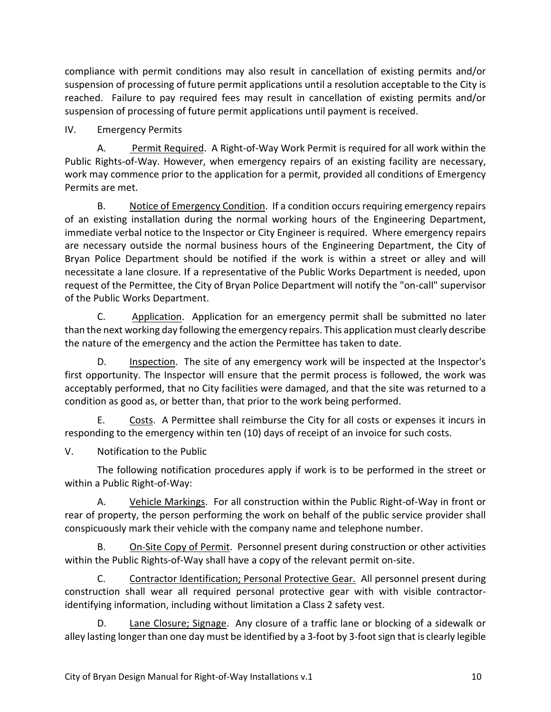compliance with permit conditions may also result in cancellation of existing permits and/or suspension of processing of future permit applications until a resolution acceptable to the City is reached. Failure to pay required fees may result in cancellation of existing permits and/or suspension of processing of future permit applications until payment is received.

<span id="page-12-0"></span>IV. Emergency Permits

<span id="page-12-1"></span>A. Permit Required. A Right-of-Way Work Permit is required for all work within the Public Rights-of-Way. However, when emergency repairs of an existing facility are necessary, work may commence prior to the application for a permit, provided all conditions of Emergency Permits are met.

<span id="page-12-2"></span>B. Notice of Emergency Condition. If a condition occurs requiring emergency repairs of an existing installation during the normal working hours of the Engineering Department, immediate verbal notice to the Inspector or City Engineer is required. Where emergency repairs are necessary outside the normal business hours of the Engineering Department, the City of Bryan Police Department should be notified if the work is within a street or alley and will necessitate a lane closure. If a representative of the Public Works Department is needed, upon request of the Permittee, the City of Bryan Police Department will notify the "on-call" supervisor of the Public Works Department.

<span id="page-12-3"></span>C. Application. Application for an emergency permit shall be submitted no later than the next working day following the emergency repairs. This application must clearly describe the nature of the emergency and the action the Permittee has taken to date.

<span id="page-12-4"></span>D. Inspection. The site of any emergency work will be inspected at the Inspector's first opportunity. The Inspector will ensure that the permit process is followed, the work was acceptably performed, that no City facilities were damaged, and that the site was returned to a condition as good as, or better than, that prior to the work being performed.

E. Costs. A Permittee shall reimburse the City for all costs or expenses it incurs in responding to the emergency within ten (10) days of receipt of an invoice for such costs.

<span id="page-12-5"></span>V. Notification to the Public

The following notification procedures apply if work is to be performed in the street or within a Public Right-of-Way:

<span id="page-12-6"></span>A. Vehicle Markings. For all construction within the Public Right-of-Way in front or rear of property, the person performing the work on behalf of the public service provider shall conspicuously mark their vehicle with the company name and telephone number.

B. On-Site Copy of Permit. Personnel present during construction or other activities within the Public Rights-of-Way shall have a copy of the relevant permit on-site.

C. Contractor Identification; Personal Protective Gear. All personnel present during construction shall wear all required personal protective gear with with visible contractoridentifying information, including without limitation a Class 2 safety vest.

<span id="page-12-7"></span>D. Lane Closure; Signage. Any closure of a traffic lane or blocking of a sidewalk or alley lasting longer than one day must be identified by a 3-foot by 3-foot sign that is clearly legible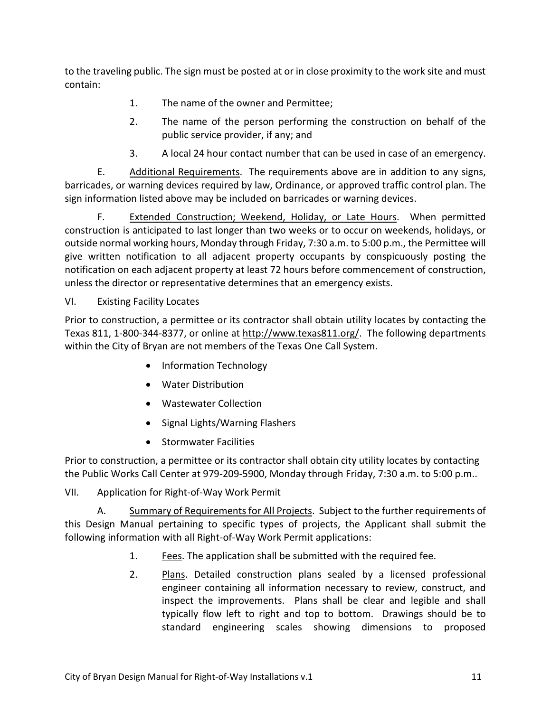to the traveling public. The sign must be posted at or in close proximity to the work site and must contain:

- 1. The name of the owner and Permittee;
- 2. The name of the person performing the construction on behalf of the public service provider, if any; and
- 3. A local 24 hour contact number that can be used in case of an emergency.

<span id="page-13-0"></span>E. Additional Requirements. The requirements above are in addition to any signs, barricades, or warning devices required by law, Ordinance, or approved traffic control plan. The sign information listed above may be included on barricades or warning devices.

<span id="page-13-1"></span>F. Extended Construction; Weekend, Holiday, or Late Hours. When permitted construction is anticipated to last longer than two weeks or to occur on weekends, holidays, or outside normal working hours, Monday through Friday, 7:30 a.m. to 5:00 p.m., the Permittee will give written notification to all adjacent property occupants by conspicuously posting the notification on each adjacent property at least 72 hours before commencement of construction, unless the director or representative determines that an emergency exists.

# <span id="page-13-2"></span>VI. Existing Facility Locates

Prior to construction, a permittee or its contractor shall obtain utility locates by contacting the Texas 811, 1-800-344-8377, or online at [http://www.texas811.org/.](http://www.texas811.org/) The following departments within the City of Bryan are not members of the Texas One Call System.

- Information Technology
- Water Distribution
- Wastewater Collection
- Signal Lights/Warning Flashers
- Stormwater Facilities

Prior to construction, a permittee or its contractor shall obtain city utility locates by contacting the Public Works Call Center at 979-209-5900, Monday through Friday, 7:30 a.m. to 5:00 p.m..

<span id="page-13-3"></span>VII. Application for Right-of-Way Work Permit

<span id="page-13-4"></span>A. Summary of Requirements for All Projects. Subject to the further requirements of this Design Manual pertaining to specific types of projects, the Applicant shall submit the following information with all Right-of-Way Work Permit applications:

- 1. Fees. The application shall be submitted with the required fee.
- 2. Plans. Detailed construction plans sealed by a licensed professional engineer containing all information necessary to review, construct, and inspect the improvements. Plans shall be clear and legible and shall typically flow left to right and top to bottom. Drawings should be to standard engineering scales showing dimensions to proposed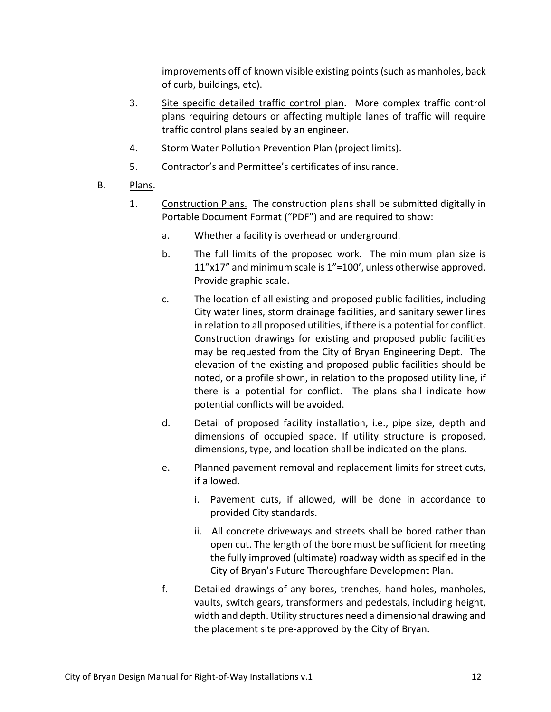improvements off of known visible existing points (such as manholes, back of curb, buildings, etc).

- 3. Site specific detailed traffic control plan. More complex traffic control plans requiring detours or affecting multiple lanes of traffic will require traffic control plans sealed by an engineer.
- 4. Storm Water Pollution Prevention Plan (project limits).
- 5. Contractor's and Permittee's certificates of insurance.
- <span id="page-14-0"></span>B. Plans.
	- 1. Construction Plans. The construction plans shall be submitted digitally in Portable Document Format ("PDF") and are required to show:
		- a. Whether a facility is overhead or underground.
		- b. The full limits of the proposed work. The minimum plan size is 11"x17" and minimum scale is 1"=100', unless otherwise approved. Provide graphic scale.
		- c. The location of all existing and proposed public facilities, including City water lines, storm drainage facilities, and sanitary sewer lines in relation to all proposed utilities, if there is a potential for conflict. Construction drawings for existing and proposed public facilities may be requested from the City of Bryan Engineering Dept. The elevation of the existing and proposed public facilities should be noted, or a profile shown, in relation to the proposed utility line, if there is a potential for conflict. The plans shall indicate how potential conflicts will be avoided.
		- d. Detail of proposed facility installation, i.e., pipe size, depth and dimensions of occupied space. If utility structure is proposed, dimensions, type, and location shall be indicated on the plans.
		- e. Planned pavement removal and replacement limits for street cuts, if allowed.
			- i. Pavement cuts, if allowed, will be done in accordance to provided City standards.
			- ii. All concrete driveways and streets shall be bored rather than open cut. The length of the bore must be sufficient for meeting the fully improved (ultimate) roadway width as specified in the City of Bryan's Future Thoroughfare Development Plan.
		- f. Detailed drawings of any bores, trenches, hand holes, manholes, vaults, switch gears, transformers and pedestals, including height, width and depth. Utility structures need a dimensional drawing and the placement site pre-approved by the City of Bryan.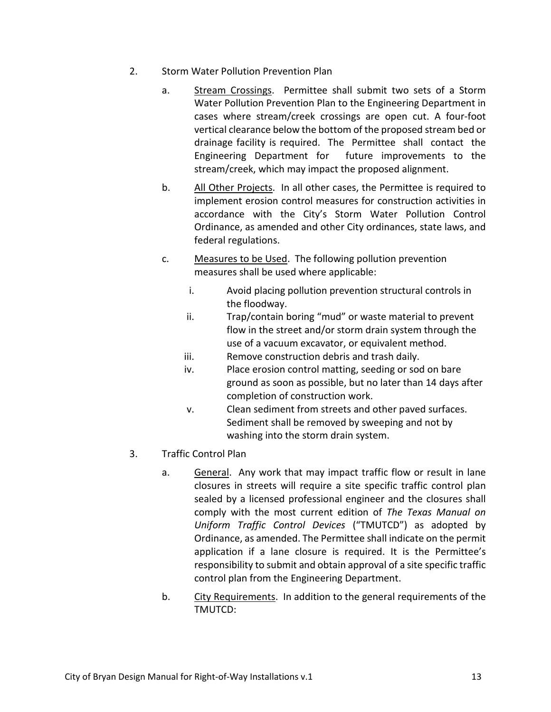- 2. Storm Water Pollution Prevention Plan
	- a. Stream Crossings. Permittee shall submit two sets of a Storm Water Pollution Prevention Plan to the Engineering Department in cases where stream/creek crossings are open cut. A four-foot vertical clearance below the bottom of the proposed stream bed or drainage facility is required. The Permittee shall contact the Engineering Department for future improvements to the stream/creek, which may impact the proposed alignment.
	- b. All Other Projects. In all other cases, the Permittee is required to implement erosion control measures for construction activities in accordance with the City's Storm Water Pollution Control Ordinance, as amended and other City ordinances, state laws, and federal regulations.
	- c. Measures to be Used. The following pollution prevention measures shall be used where applicable:
		- i. Avoid placing pollution prevention structural controls in the floodway.
		- ii. Trap/contain boring "mud" or waste material to prevent flow in the street and/or storm drain system through the use of a vacuum excavator, or equivalent method.
		- iii. Remove construction debris and trash daily.
		- iv. Place erosion control matting, seeding or sod on bare ground as soon as possible, but no later than 14 days after completion of construction work.
		- v. Clean sediment from streets and other paved surfaces. Sediment shall be removed by sweeping and not by washing into the storm drain system.
- 3. Traffic Control Plan
	- a. General. Any work that may impact traffic flow or result in lane closures in streets will require a site specific traffic control plan sealed by a licensed professional engineer and the closures shall comply with the most current edition of *The Texas Manual on Uniform Traffic Control Devices* ("TMUTCD") as adopted by Ordinance, as amended. The Permittee shall indicate on the permit application if a lane closure is required. It is the Permittee's responsibility to submit and obtain approval of a site specific traffic control plan from the Engineering Department.
	- b. City Requirements. In addition to the general requirements of the TMUTCD: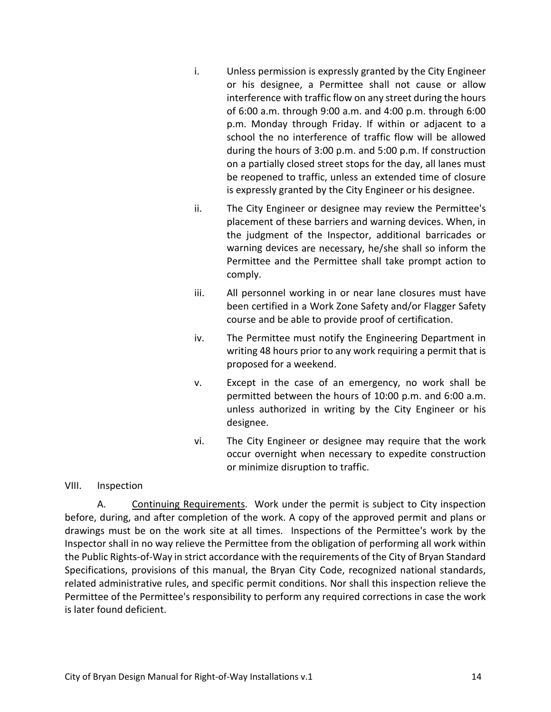- i. Unless permission is expressly granted by the City Engineer or his designee, a Permittee shall not cause or allow interference with traffic flow on any street during the hours of 6:00 a.m. through 9:00 a.m. and 4:00 p.m. through 6:00 p.m. Monday through Friday. If within or adjacent to a school the no interference of traffic flow will be allowed during the hours of 3:00 p.m. and 5:00 p.m. If construction on a partially closed street stops for the day, all lanes must be reopened to traffic, unless an extended time of closure is expressly granted by the City Engineer or his designee.
- ii. The City Engineer or designee may review the Permittee's placement of these barriers and warning devices. When, in the judgment of the Inspector, additional barricades or warning devices are necessary, he/she shall so inform the Permittee and the Permittee shall take prompt action to comply.
- iii. All personnel working in or near lane closures must have been certified in a Work Zone Safety and/or Flagger Safety course and be able to provide proof of certification.
- iv. The Permittee must notify the Engineering Department in writing 48 hours prior to any work requiring a permit that is proposed for a weekend.
- v. Except in the case of an emergency, no work shall be permitted between the hours of 10:00 p.m. and 6:00 a.m. unless authorized in writing by the City Engineer or his designee.
- vi. The City Engineer or designee may require that the work occur overnight when necessary to expedite construction or minimize disruption to traffic.

# <span id="page-16-0"></span>VIII. Inspection

<span id="page-16-1"></span>A. Continuing Requirements. Work under the permit is subject to City inspection before, during, and after completion of the work. A copy of the approved permit and plans or drawings must be on the work site at all times. Inspections of the Permittee's work by the Inspector shall in no way relieve the Permittee from the obligation of performing all work within the Public Rights-of-Way in strict accordance with the requirements of the City of Bryan Standard Specifications, provisions of this manual, the Bryan City Code, recognized national standards, related administrative rules, and specific permit conditions. Nor shall this inspection relieve the Permittee of the Permittee's responsibility to perform any required corrections in case the work is later found deficient.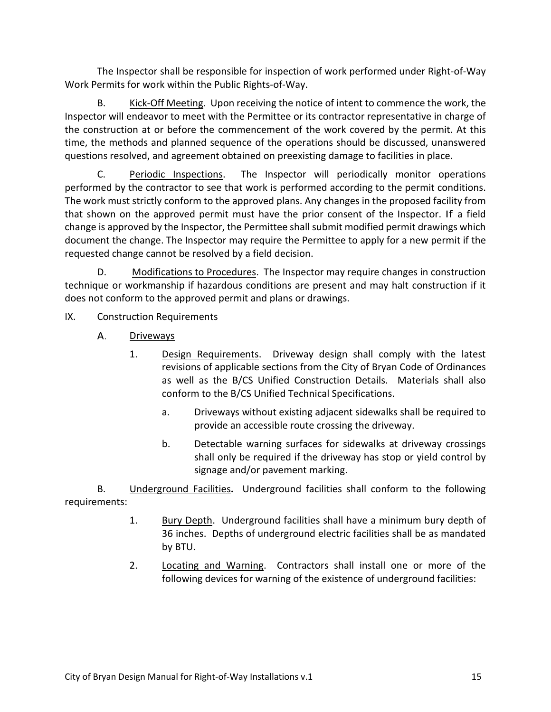The Inspector shall be responsible for inspection of work performed under Right-of-Way Work Permits for work within the Public Rights-of-Way.

<span id="page-17-0"></span>B. Kick-Off Meeting. Upon receiving the notice of intent to commence the work, the Inspector will endeavor to meet with the Permittee or its contractor representative in charge of the construction at or before the commencement of the work covered by the permit. At this time, the methods and planned sequence of the operations should be discussed, unanswered questions resolved, and agreement obtained on preexisting damage to facilities in place.

<span id="page-17-1"></span>C. Periodic Inspections. The Inspector will periodically monitor operations performed by the contractor to see that work is performed according to the permit conditions. The work must strictly conform to the approved plans. Any changes in the proposed facility from that shown on the approved permit must have the prior consent of the Inspector. If a field change is approved by the Inspector, the Permittee shall submit modified permit drawings which document the change. The Inspector may require the Permittee to apply for a new permit if the requested change cannot be resolved by a field decision.

<span id="page-17-2"></span>D. Modifications to Procedures. The Inspector may require changes in construction technique or workmanship if hazardous conditions are present and may halt construction if it does not conform to the approved permit and plans or drawings.

- <span id="page-17-4"></span><span id="page-17-3"></span>IX. Construction Requirements
	- А. **Driveways** 
		- 1. Design Requirements. Driveway design shall comply with the latest revisions of applicable sections from the City of Bryan Code of Ordinances as well as the B/CS Unified Construction Details. Materials shall also conform to the B/CS Unified Technical Specifications.
			- a. Driveways without existing adjacent sidewalks shall be required to provide an accessible route crossing the driveway.
			- b. Detectable warning surfaces for sidewalks at driveway crossings shall only be required if the driveway has stop or yield control by signage and/or pavement marking.

B. Underground Facilities**.** Underground facilities shall conform to the following requirements:

- 1. Bury Depth. Underground facilities shall have a minimum bury depth of 36 inches. Depths of underground electric facilities shall be as mandated by BTU.
- 2. Locating and Warning. Contractors shall install one or more of the following devices for warning of the existence of underground facilities: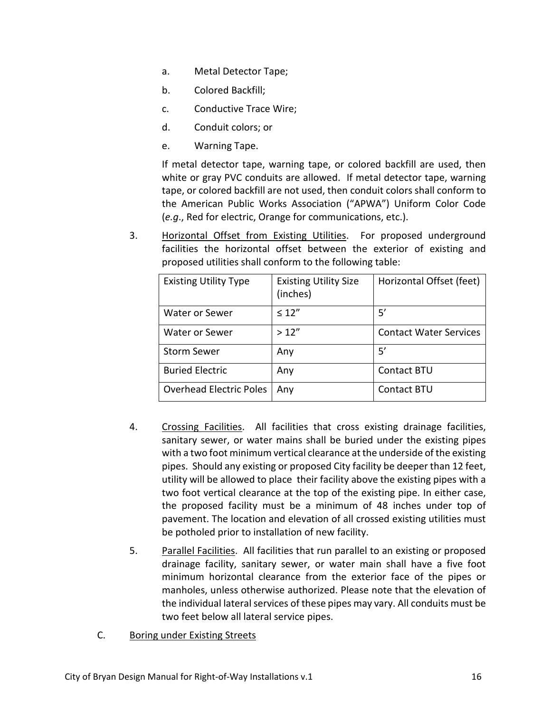- a. Metal Detector Tape;
- b. Colored Backfill;
- c. Conductive Trace Wire;
- d. Conduit colors; or
- e. Warning Tape.

If metal detector tape, warning tape, or colored backfill are used, then white or gray PVC conduits are allowed. If metal detector tape, warning tape, or colored backfill are not used, then conduit colors shall conform to the American Public Works Association ("APWA") Uniform Color Code (*e.g*., Red for electric, Orange for communications, etc.).

3. Horizontal Offset from Existing Utilities. For proposed underground facilities the horizontal offset between the exterior of existing and proposed utilities shall conform to the following table:

| <b>Existing Utility Type</b>   | <b>Existing Utility Size</b><br>(inches) | Horizontal Offset (feet)      |
|--------------------------------|------------------------------------------|-------------------------------|
| <b>Water or Sewer</b>          | $\leq 12''$                              | 5'                            |
| Water or Sewer                 | >12"                                     | <b>Contact Water Services</b> |
| <b>Storm Sewer</b>             | Anv                                      | 5'                            |
| <b>Buried Electric</b>         | Any                                      | <b>Contact BTU</b>            |
| <b>Overhead Electric Poles</b> | Any                                      | <b>Contact BTU</b>            |

- 4. Crossing Facilities. All facilities that cross existing drainage facilities, sanitary sewer, or water mains shall be buried under the existing pipes with a two foot minimum vertical clearance at the underside of the existing pipes. Should any existing or proposed City facility be deeper than 12 feet, utility will be allowed to place their facility above the existing pipes with a two foot vertical clearance at the top of the existing pipe. In either case, the proposed facility must be a minimum of 48 inches under top of pavement. The location and elevation of all crossed existing utilities must be potholed prior to installation of new facility.
- 5. Parallel Facilities. All facilities that run parallel to an existing or proposed drainage facility, sanitary sewer, or water main shall have a five foot minimum horizontal clearance from the exterior face of the pipes or manholes, unless otherwise authorized. Please note that the elevation of the individual lateral services of these pipes may vary. All conduits must be two feet below all lateral service pipes.
- C. Boring under Existing Streets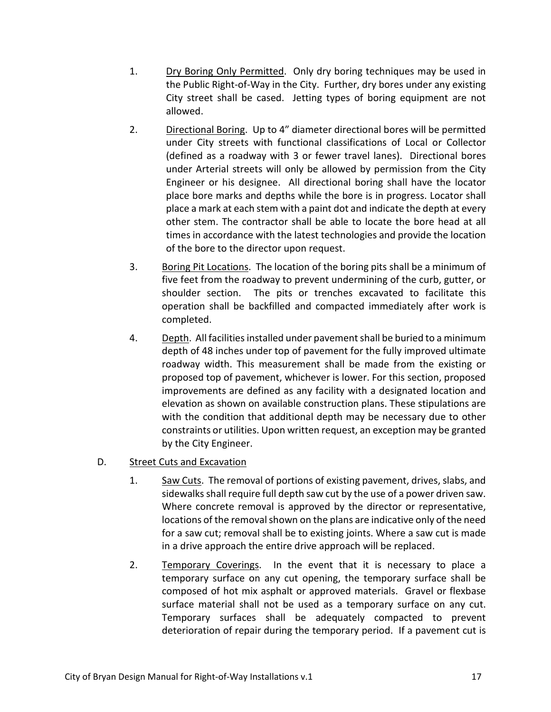- 1. Dry Boring Only Permitted. Only dry boring techniques may be used in the Public Right-of-Way in the City. Further, dry bores under any existing City street shall be cased. Jetting types of boring equipment are not allowed.
- 2. Directional Boring. Up to 4" diameter directional bores will be permitted under City streets with functional classifications of Local or Collector (defined as a roadway with 3 or fewer travel lanes). Directional bores under Arterial streets will only be allowed by permission from the City Engineer or his designee. All directional boring shall have the locator place bore marks and depths while the bore is in progress. Locator shall place a mark at each stem with a paint dot and indicate the depth at every other stem. The contractor shall be able to locate the bore head at all times in accordance with the latest technologies and provide the location of the bore to the director upon request.
- 3. Boring Pit Locations. The location of the boring pits shall be a minimum of five feet from the roadway to prevent undermining of the curb, gutter, or shoulder section. The pits or trenches excavated to facilitate this operation shall be backfilled and compacted immediately after work is completed.
- 4. Depth. All facilities installed under pavement shall be buried to a minimum depth of 48 inches under top of pavement for the fully improved ultimate roadway width. This measurement shall be made from the existing or proposed top of pavement, whichever is lower. For this section, proposed improvements are defined as any facility with a designated location and elevation as shown on available construction plans. These stipulations are with the condition that additional depth may be necessary due to other constraints or utilities. Upon written request, an exception may be granted by the City Engineer.
- D. Street Cuts and Excavation
	- 1. Saw Cuts. The removal of portions of existing pavement, drives, slabs, and sidewalks shall require full depth saw cut by the use of a power driven saw. Where concrete removal is approved by the director or representative, locations of the removal shown on the plans are indicative only of the need for a saw cut; removal shall be to existing joints. Where a saw cut is made in a drive approach the entire drive approach will be replaced.
	- 2. Temporary Coverings. In the event that it is necessary to place a temporary surface on any cut opening, the temporary surface shall be composed of hot mix asphalt or approved materials. Gravel or flexbase surface material shall not be used as a temporary surface on any cut. Temporary surfaces shall be adequately compacted to prevent deterioration of repair during the temporary period. If a pavement cut is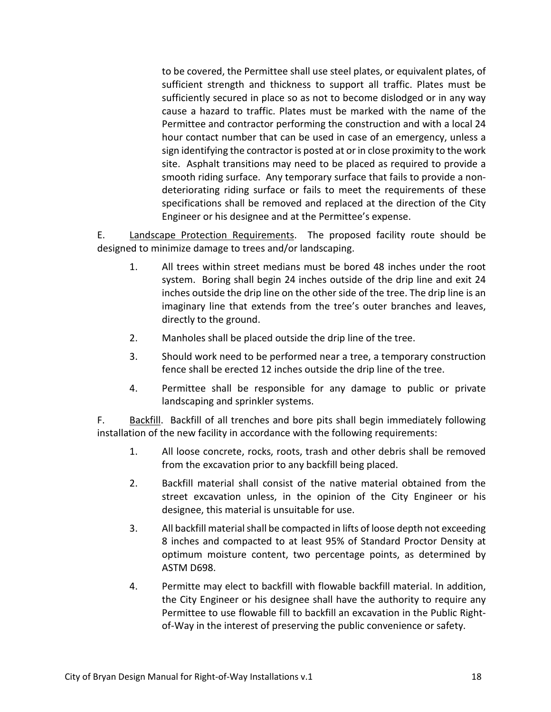to be covered, the Permittee shall use steel plates, or equivalent plates, of sufficient strength and thickness to support all traffic. Plates must be sufficiently secured in place so as not to become dislodged or in any way cause a hazard to traffic. Plates must be marked with the name of the Permittee and contractor performing the construction and with a local 24 hour contact number that can be used in case of an emergency, unless a sign identifying the contractor is posted at or in close proximity to the work site. Asphalt transitions may need to be placed as required to provide a smooth riding surface. Any temporary surface that fails to provide a nondeteriorating riding surface or fails to meet the requirements of these specifications shall be removed and replaced at the direction of the City Engineer or his designee and at the Permittee's expense.

<span id="page-20-0"></span>E. Landscape Protection Requirements. The proposed facility route should be designed to minimize damage to trees and/or landscaping.

- 1. All trees within street medians must be bored 48 inches under the root system. Boring shall begin 24 inches outside of the drip line and exit 24 inches outside the drip line on the other side of the tree. The drip line is an imaginary line that extends from the tree's outer branches and leaves, directly to the ground.
- 2. Manholes shall be placed outside the drip line of the tree.
- 3. Should work need to be performed near a tree, a temporary construction fence shall be erected 12 inches outside the drip line of the tree.
- 4. Permittee shall be responsible for any damage to public or private landscaping and sprinkler systems.

F. Backfill. Backfill of all trenches and bore pits shall begin immediately following installation of the new facility in accordance with the following requirements:

- 1. All loose concrete, rocks, roots, trash and other debris shall be removed from the excavation prior to any backfill being placed.
- 2. Backfill material shall consist of the native material obtained from the street excavation unless, in the opinion of the City Engineer or his designee, this material is unsuitable for use.
- 3. All backfill material shall be compacted in lifts of loose depth not exceeding 8 inches and compacted to at least 95% of Standard Proctor Density at optimum moisture content, two percentage points, as determined by ASTM D698.
- 4. Permitte may elect to backfill with flowable backfill material. In addition, the City Engineer or his designee shall have the authority to require any Permittee to use flowable fill to backfill an excavation in the Public Rightof-Way in the interest of preserving the public convenience or safety.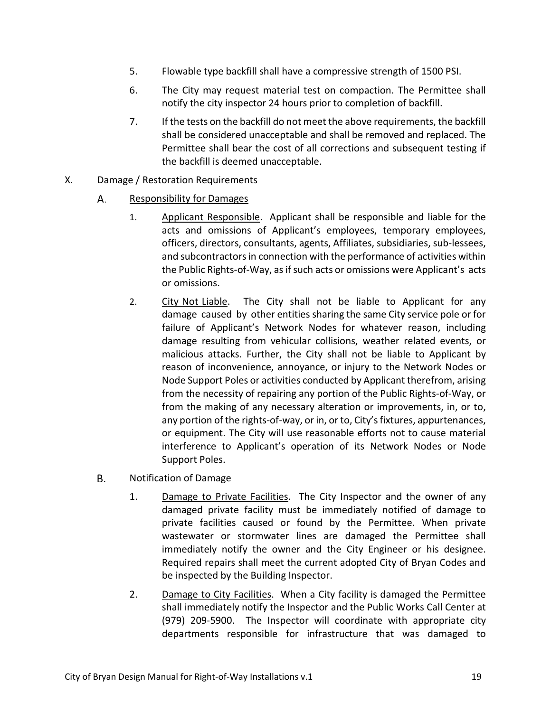- 5. Flowable type backfill shall have a compressive strength of 1500 PSI.
- 6. The City may request material test on compaction. The Permittee shall notify the city inspector 24 hours prior to completion of backfill.
- 7. If the tests on the backfill do not meet the above requirements, the backfill shall be considered unacceptable and shall be removed and replaced. The Permittee shall bear the cost of all corrections and subsequent testing if the backfill is deemed unacceptable.
- <span id="page-21-2"></span><span id="page-21-1"></span><span id="page-21-0"></span>X. Damage / Restoration Requirements
	- А. Responsibility for Damages
		- 1. Applicant Responsible. Applicant shall be responsible and liable for the acts and omissions of Applicant's employees, temporary employees, officers, directors, consultants, agents, Affiliates, subsidiaries, sub-lessees, and subcontractors in connection with the performance of activities within the Public Rights-of-Way, as if such acts or omissions were Applicant's acts or omissions.
		- 2. City Not Liable. The City shall not be liable to Applicant for any damage caused by other entities sharing the same City service pole or for failure of Applicant's Network Nodes for whatever reason, including damage resulting from vehicular collisions, weather related events, or malicious attacks. Further, the City shall not be liable to Applicant by reason of inconvenience, annoyance, or injury to the Network Nodes or Node Support Poles or activities conducted by Applicant therefrom, arising from the necessity of repairing any portion of the Public Rights-of-Way, or from the making of any necessary alteration or improvements, in, or to, any portion of the rights-of-way, or in, or to, City's fixtures, appurtenances, or equipment. The City will use reasonable efforts not to cause material interference to Applicant's operation of its Network Nodes or Node Support Poles.
	- В. Notification of Damage
		- 1. Damage to Private Facilities. The City Inspector and the owner of any damaged private facility must be immediately notified of damage to private facilities caused or found by the Permittee. When private wastewater or stormwater lines are damaged the Permittee shall immediately notify the owner and the City Engineer or his designee. Required repairs shall meet the current adopted City of Bryan Codes and be inspected by the Building Inspector.
		- 2. Damage to City Facilities. When a City facility is damaged the Permittee shall immediately notify the Inspector and the Public Works Call Center at (979) 209-5900. The Inspector will coordinate with appropriate city departments responsible for infrastructure that was damaged to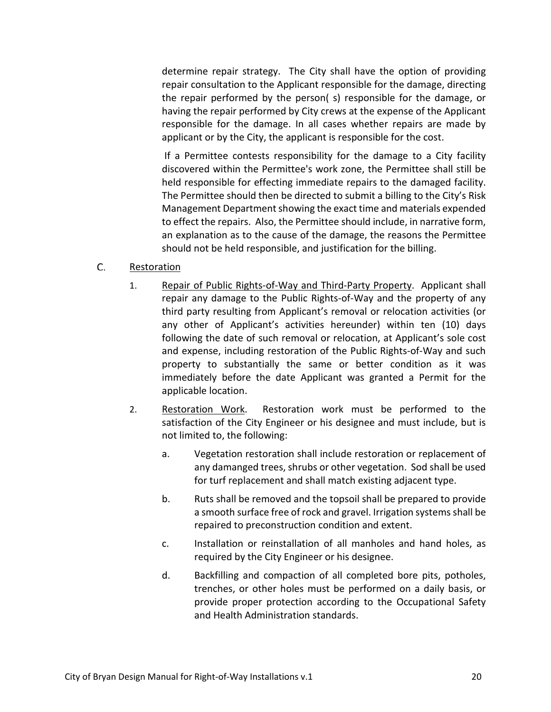determine repair strategy. The City shall have the option of providing repair consultation to the Applicant responsible for the damage, directing the repair performed by the person( s) responsible for the damage, or having the repair performed by City crews at the expense of the Applicant responsible for the damage. In all cases whether repairs are made by applicant or by the City, the applicant is responsible for the cost.

If a Permittee contests responsibility for the damage to a City facility discovered within the Permittee's work zone, the Permittee shall still be held responsible for effecting immediate repairs to the damaged facility. The Permittee should then be directed to submit a billing to the City's Risk Management Department showing the exact time and materials expended to effect the repairs. Also, the Permittee should include, in narrative form, an explanation as to the cause of the damage, the reasons the Permittee should not be held responsible, and justification for the billing.

#### <span id="page-22-0"></span>C. **Restoration**

- 1. Repair of Public Rights-of-Way and Third-Party Property. Applicant shall repair any damage to the Public Rights-of-Way and the property of any third party resulting from Applicant's removal or relocation activities (or any other of Applicant's activities hereunder) within ten (10) days following the date of such removal or relocation, at Applicant's sole cost and expense, including restoration of the Public Rights-of-Way and such property to substantially the same or better condition as it was immediately before the date Applicant was granted a Permit for the applicable location.
- 2. Restoration Work. Restoration work must be performed to the satisfaction of the City Engineer or his designee and must include, but is not limited to, the following:
	- a. Vegetation restoration shall include restoration or replacement of any damanged trees, shrubs or other vegetation. Sod shall be used for turf replacement and shall match existing adjacent type.
	- b. Ruts shall be removed and the topsoil shall be prepared to provide a smooth surface free of rock and gravel. Irrigation systems shall be repaired to preconstruction condition and extent.
	- c. Installation or reinstallation of all manholes and hand holes, as required by the City Engineer or his designee.
	- d. Backfilling and compaction of all completed bore pits, potholes, trenches, or other holes must be performed on a daily basis, or provide proper protection according to the Occupational Safety and Health Administration standards.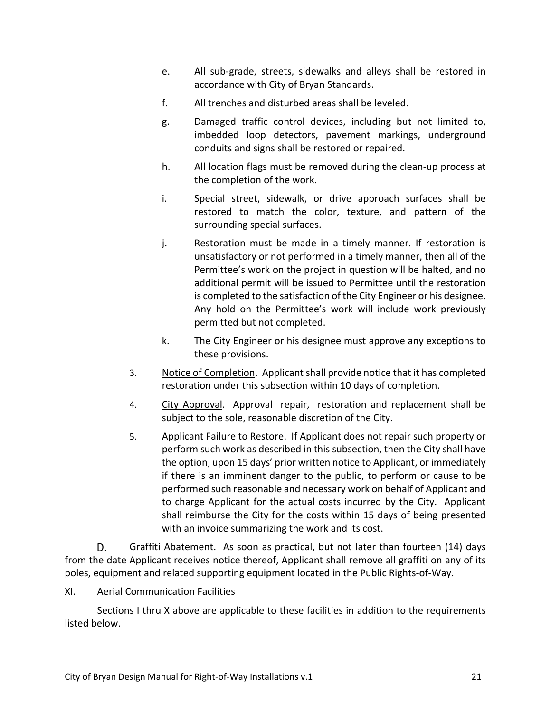- e. All sub-grade, streets, sidewalks and alleys shall be restored in accordance with City of Bryan Standards.
- f. All trenches and disturbed areas shall be leveled.
- g. Damaged traffic control devices, including but not limited to, imbedded loop detectors, pavement markings, underground conduits and signs shall be restored or repaired.
- h. All location flags must be removed during the clean-up process at the completion of the work.
- i. Special street, sidewalk, or drive approach surfaces shall be restored to match the color, texture, and pattern of the surrounding special surfaces.
- j. Restoration must be made in a timely manner. If restoration is unsatisfactory or not performed in a timely manner, then all of the Permittee's work on the project in question will be halted, and no additional permit will be issued to Permittee until the restoration is completed to the satisfaction of the City Engineer or his designee. Any hold on the Permittee's work will include work previously permitted but not completed.
- k. The City Engineer or his designee must approve any exceptions to these provisions.
- 3. Notice of Completion. Applicant shall provide notice that it has completed restoration under this subsection within 10 days of completion.
- 4. City Approval. Approval repair, restoration and replacement shall be subject to the sole, reasonable discretion of the City.
- 5. Applicant Failure to Restore. If Applicant does not repair such property or perform such work as described in this subsection, then the City shall have the option, upon 15 days' prior written notice to Applicant, or immediately if there is an imminent danger to the public, to perform or cause to be performed such reasonable and necessary work on behalf of Applicant and to charge Applicant for the actual costs incurred by the City. Applicant shall reimburse the City for the costs within 15 days of being presented with an invoice summarizing the work and its cost.

<span id="page-23-0"></span>Graffiti Abatement. As soon as practical, but not later than fourteen (14) days D. from the date Applicant receives notice thereof, Applicant shall remove all graffiti on any of its poles, equipment and related supporting equipment located in the Public Rights-of-Way.

<span id="page-23-1"></span>XI. Aerial Communication Facilities

Sections I thru X above are applicable to these facilities in addition to the requirements listed below.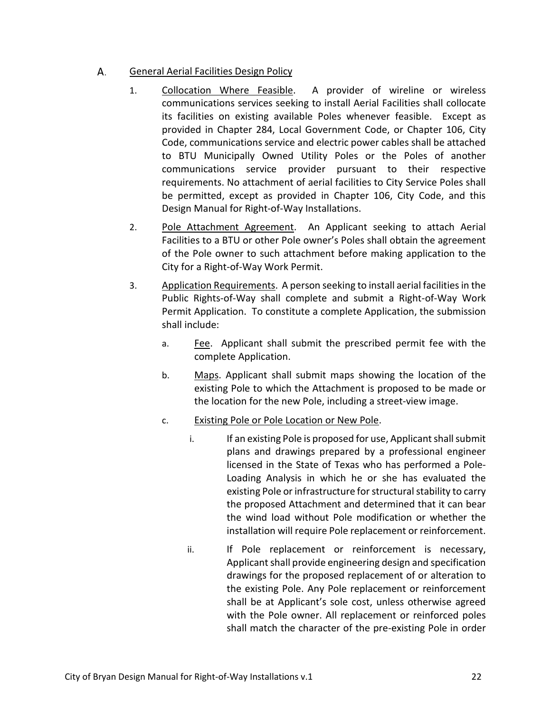### <span id="page-24-0"></span>А. General Aerial Facilities Design Policy

- 1. Collocation Where Feasible. A provider of wireline or wireless communications services seeking to install Aerial Facilities shall collocate its facilities on existing available Poles whenever feasible. Except as provided in Chapter 284, Local Government Code, or Chapter 106, City Code, communications service and electric power cables shall be attached to BTU Municipally Owned Utility Poles or the Poles of another communications service provider pursuant to their respective requirements. No attachment of aerial facilities to City Service Poles shall be permitted, except as provided in Chapter 106, City Code, and this Design Manual for Right-of-Way Installations.
- 2. Pole Attachment Agreement. An Applicant seeking to attach Aerial Facilities to a BTU or other Pole owner's Poles shall obtain the agreement of the Pole owner to such attachment before making application to the City for a Right-of-Way Work Permit.
- 3. Application Requirements. A person seeking to install aerial facilities in the Public Rights-of-Way shall complete and submit a Right-of-Way Work Permit Application. To constitute a complete Application, the submission shall include:
	- a. Fee. Applicant shall submit the prescribed permit fee with the complete Application.
	- b. Maps. Applicant shall submit maps showing the location of the existing Pole to which the Attachment is proposed to be made or the location for the new Pole, including a street-view image.
	- c. Existing Pole or Pole Location or New Pole.
		- i. If an existing Pole is proposed for use, Applicant shall submit plans and drawings prepared by a professional engineer licensed in the State of Texas who has performed a Pole-Loading Analysis in which he or she has evaluated the existing Pole or infrastructure for structural stability to carry the proposed Attachment and determined that it can bear the wind load without Pole modification or whether the installation will require Pole replacement or reinforcement.
		- ii. If Pole replacement or reinforcement is necessary, Applicant shall provide engineering design and specification drawings for the proposed replacement of or alteration to the existing Pole. Any Pole replacement or reinforcement shall be at Applicant's sole cost, unless otherwise agreed with the Pole owner. All replacement or reinforced poles shall match the character of the pre-existing Pole in order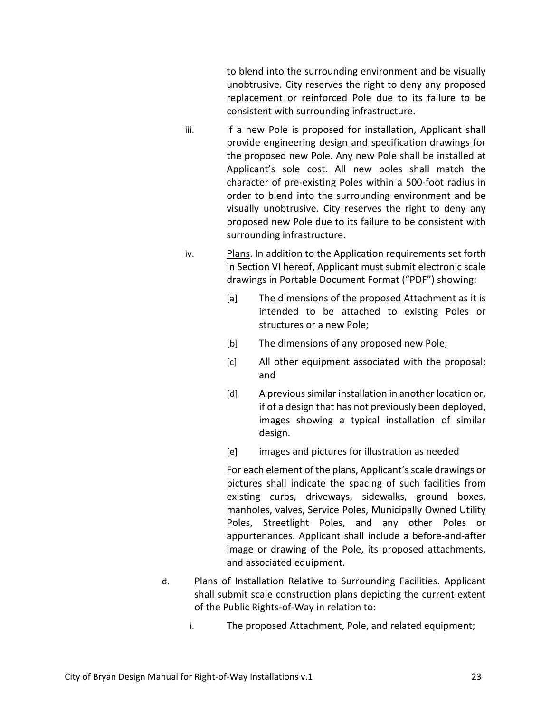to blend into the surrounding environment and be visually unobtrusive. City reserves the right to deny any proposed replacement or reinforced Pole due to its failure to be consistent with surrounding infrastructure.

- iii. If a new Pole is proposed for installation, Applicant shall provide engineering design and specification drawings for the proposed new Pole. Any new Pole shall be installed at Applicant's sole cost. All new poles shall match the character of pre-existing Poles within a 500-foot radius in order to blend into the surrounding environment and be visually unobtrusive. City reserves the right to deny any proposed new Pole due to its failure to be consistent with surrounding infrastructure.
- iv. Plans. In addition to the Application requirements set forth in Section VI hereof, Applicant must submit electronic scale drawings in Portable Document Format ("PDF") showing:
	- [a] The dimensions of the proposed Attachment as it is intended to be attached to existing Poles or structures or a new Pole;
	- [b] The dimensions of any proposed new Pole;
	- [c] All other equipment associated with the proposal; and
	- [d] A previous similar installation in another location or, if of a design that has not previously been deployed, images showing a typical installation of similar design.
	- [e] images and pictures for illustration as needed

For each element of the plans, Applicant's scale drawings or pictures shall indicate the spacing of such facilities from existing curbs, driveways, sidewalks, ground boxes, manholes, valves, Service Poles, Municipally Owned Utility Poles, Streetlight Poles, and any other Poles or appurtenances. Applicant shall include a before-and-after image or drawing of the Pole, its proposed attachments, and associated equipment.

- d. Plans of Installation Relative to Surrounding Facilities. Applicant shall submit scale construction plans depicting the current extent of the Public Rights-of-Way in relation to:
	- i. The proposed Attachment, Pole, and related equipment;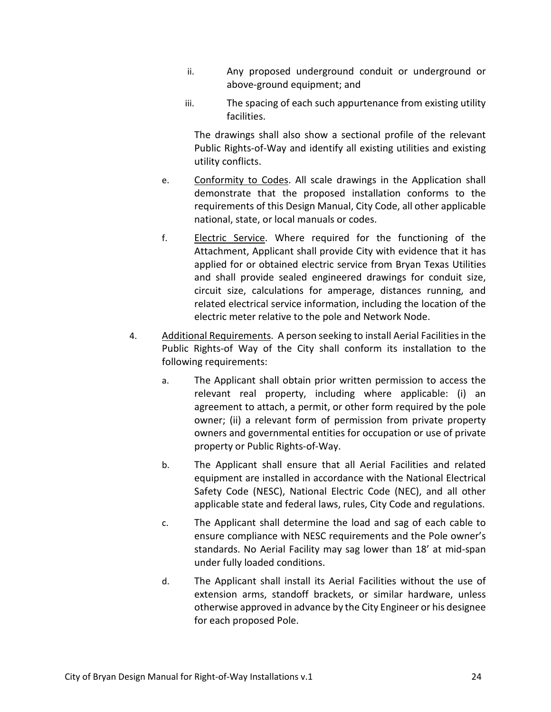- ii. Any proposed underground conduit or underground or above-ground equipment; and
- iii. The spacing of each such appurtenance from existing utility facilities.

The drawings shall also show a sectional profile of the relevant Public Rights-of-Way and identify all existing utilities and existing utility conflicts.

- e. Conformity to Codes. All scale drawings in the Application shall demonstrate that the proposed installation conforms to the requirements of this Design Manual, City Code, all other applicable national, state, or local manuals or codes.
- f. Electric Service. Where required for the functioning of the Attachment, Applicant shall provide City with evidence that it has applied for or obtained electric service from Bryan Texas Utilities and shall provide sealed engineered drawings for conduit size, circuit size, calculations for amperage, distances running, and related electrical service information, including the location of the electric meter relative to the pole and Network Node.
- 4. Additional Requirements. A person seeking to install Aerial Facilities in the Public Rights-of Way of the City shall conform its installation to the following requirements:
	- a. The Applicant shall obtain prior written permission to access the relevant real property, including where applicable: (i) an agreement to attach, a permit, or other form required by the pole owner; (ii) a relevant form of permission from private property owners and governmental entities for occupation or use of private property or Public Rights-of-Way.
	- b. The Applicant shall ensure that all Aerial Facilities and related equipment are installed in accordance with the National Electrical Safety Code (NESC), National Electric Code (NEC), and all other applicable state and federal laws, rules, City Code and regulations.
	- c. The Applicant shall determine the load and sag of each cable to ensure compliance with NESC requirements and the Pole owner's standards. No Aerial Facility may sag lower than 18' at mid-span under fully loaded conditions.
	- d. The Applicant shall install its Aerial Facilities without the use of extension arms, standoff brackets, or similar hardware, unless otherwise approved in advance by the City Engineer or his designee for each proposed Pole.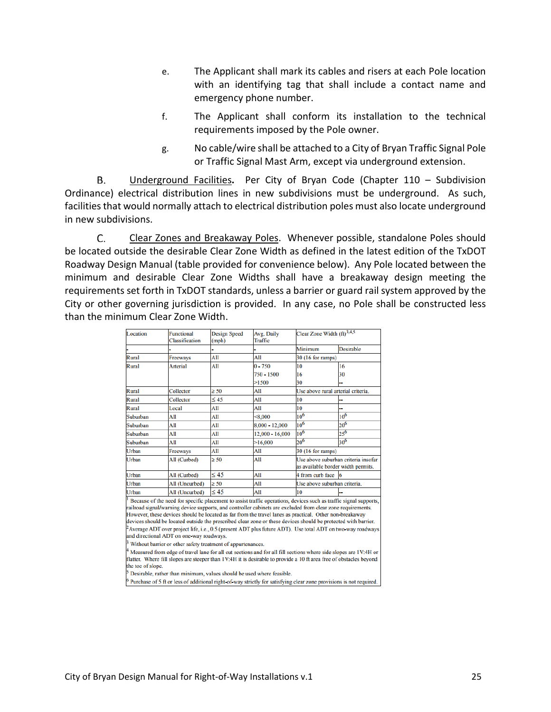- e. The Applicant shall mark its cables and risers at each Pole location with an identifying tag that shall include a contact name and emergency phone number.
- f. The Applicant shall conform its installation to the technical requirements imposed by the Pole owner.
- g. No cable/wire shall be attached to a City of Bryan Traffic Signal Pole or Traffic Signal Mast Arm, except via underground extension.

<span id="page-27-0"></span>Β. Underground Facilities**.** Per City of Bryan Code (Chapter 110 – Subdivision Ordinance) electrical distribution lines in new subdivisions must be underground. As such, facilities that would normally attach to electrical distribution poles must also locate underground in new subdivisions.

<span id="page-27-1"></span>C. Clear Zones and Breakaway Poles. Whenever possible, standalone Poles should be located outside the desirable Clear Zone Width as defined in the latest edition of the TxDOT Roadway Design Manual (table provided for convenience below). Any Pole located between the minimum and desirable Clear Zone Widths shall have a breakaway design meeting the requirements set forth in TxDOT standards, unless a barrier or guard rail system approved by the City or other governing jurisdiction is provided. In any case, no Pole shall be constructed less than the minimum Clear Zone Width.

| Location | <b>Functional</b><br>Classification | <b>Design Speed</b><br>(mph) | Avg. Daily<br>Traffic | Clear Zone Width $(ft)^{3,4,5}$                                           |                  |
|----------|-------------------------------------|------------------------------|-----------------------|---------------------------------------------------------------------------|------------------|
|          |                                     |                              |                       | Minimum                                                                   | <b>Desirable</b> |
| Rural    | Freeways                            | All                          | All                   | 30 (16 for ramps)                                                         |                  |
| Rural    | Arterial                            | All                          | $0 - 750$             | 10                                                                        | 16               |
|          |                                     |                              | 750 - 1500            | 16                                                                        | 30               |
|          |                                     |                              | >1500                 | 30                                                                        |                  |
| Rural    | Collector                           | $\geq 50$                    | All                   | Use above rural arterial criteria.                                        |                  |
| Rural    | Collector                           | $\leq 45$                    | All                   | 10                                                                        |                  |
| Rural    | Local                               | All                          | All                   | 10                                                                        | --               |
| Suburban | All                                 | All                          | < 8,000               | 10 <sup>6</sup>                                                           | 10 <sup>6</sup>  |
| Suburban | All                                 | A <sub>II</sub>              | 8,000 - 12,000        | 10 <sup>6</sup>                                                           | $20^{6}$         |
| Suburban | All                                 | All                          | 12,000 - 16,000       | 10 <sup>6</sup>                                                           | $25^{6}$         |
| Suburban | All                                 | All                          | >16,000               | $20^{6}$                                                                  | $30^{6}$         |
| Urban    | Freeways                            | A <sub>II</sub>              | All                   | 30 (16 for ramps)                                                         |                  |
| Urban    | All (Curbed)                        | $\geq 50$                    | All                   | Use above suburban criteria insofar<br>as available border width permits. |                  |
| Urban    | All (Curbed)                        | $\leq 45$                    | All                   | 4 from curb face                                                          | -16              |
| Urban    | All (Uncurbed)                      | $\geq 50$                    | All                   | Use above suburban criteria.                                              |                  |
| Urban    | All (Uncurbed)                      | $\leq 45$                    | AII                   | 10                                                                        |                  |

Because of the need for specific placement to assist traffic operations, devices such as traffic signal supports, railroad signal/warning device supports, and controller cabinets are excluded from clear zone requirements. However, these devices should be located as far from the travel lanes as practical. Other non-breakaway devices should be located outside the prescribed clear zone or these devices should be protected with barrier. <sup>2</sup> Average ADT over project life, i.e., 0.5 (present ADT plus future ADT). Use total ADT on two-way roadways and directional ADT on one-way roadways.

<sup>3</sup> Without barrier or other safety treatment of appurtenances.

Measured from edge of travel lane for all cut sections and for all fill sections where side slopes are 1V:4H or flatter. Where fill slopes are steeper than 1V:4H it is desirable to provide a 10 ft area free of obstacles beyond the toe of slope.

 $5$  Desirable, rather than minimum, values should be used where feasible.

<sup>6</sup> Purchase of 5 ft or less of additional right-of-way strictly for satisfying clear zone provisions is not required.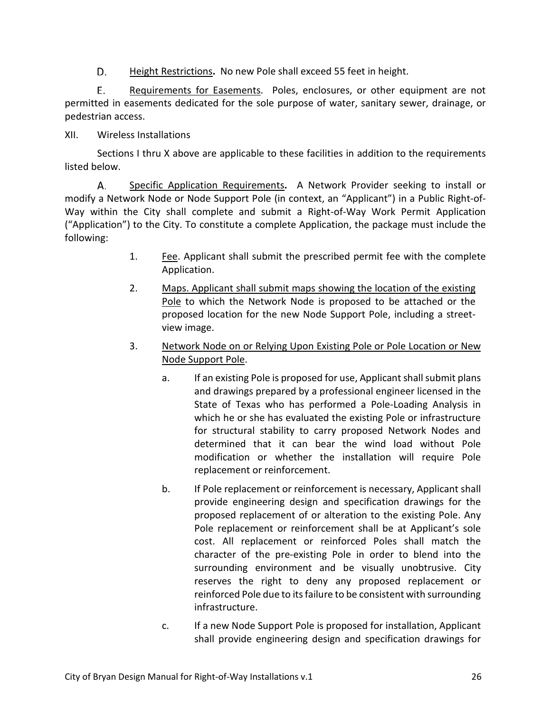D. Height Restrictions**.** No new Pole shall exceed 55 feet in height.

<span id="page-28-1"></span><span id="page-28-0"></span>E. Requirements for Easements. Poles, enclosures, or other equipment are not permitted in easements dedicated for the sole purpose of water, sanitary sewer, drainage, or pedestrian access.

<span id="page-28-2"></span>XII. Wireless Installations

Sections I thru X above are applicable to these facilities in addition to the requirements listed below.

<span id="page-28-3"></span>Specific Application Requirements**.** A Network Provider seeking to install or А. modify a Network Node or Node Support Pole (in context, an "Applicant") in a Public Right-of-Way within the City shall complete and submit a Right-of-Way Work Permit Application ("Application") to the City. To constitute a complete Application, the package must include the following:

- 1. Fee. Applicant shall submit the prescribed permit fee with the complete Application.
- 2. Maps. Applicant shall submit maps showing the location of the existing Pole to which the Network Node is proposed to be attached or the proposed location for the new Node Support Pole, including a streetview image.
- 3. Network Node on or Relying Upon Existing Pole or Pole Location or New Node Support Pole.
	- a. If an existing Pole is proposed for use, Applicant shall submit plans and drawings prepared by a professional engineer licensed in the State of Texas who has performed a Pole-Loading Analysis in which he or she has evaluated the existing Pole or infrastructure for structural stability to carry proposed Network Nodes and determined that it can bear the wind load without Pole modification or whether the installation will require Pole replacement or reinforcement.
	- b. If Pole replacement or reinforcement is necessary, Applicant shall provide engineering design and specification drawings for the proposed replacement of or alteration to the existing Pole. Any Pole replacement or reinforcement shall be at Applicant's sole cost. All replacement or reinforced Poles shall match the character of the pre-existing Pole in order to blend into the surrounding environment and be visually unobtrusive. City reserves the right to deny any proposed replacement or reinforced Pole due to its failure to be consistent with surrounding infrastructure.
	- c. If a new Node Support Pole is proposed for installation, Applicant shall provide engineering design and specification drawings for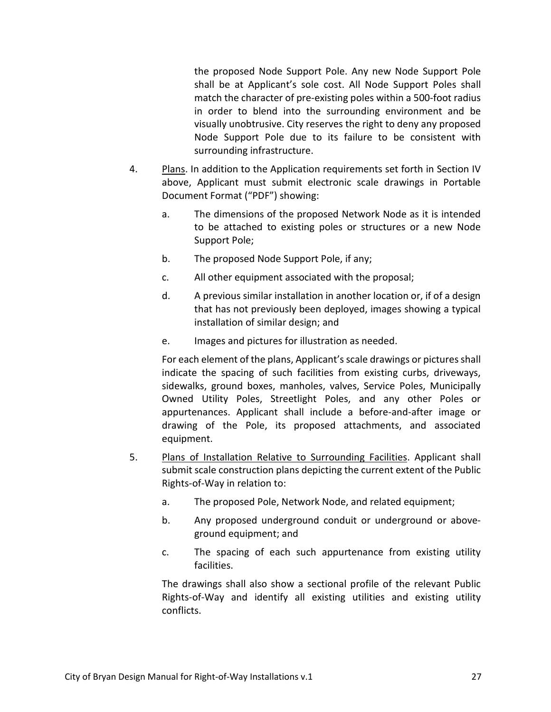the proposed Node Support Pole. Any new Node Support Pole shall be at Applicant's sole cost. All Node Support Poles shall match the character of pre-existing poles within a 500-foot radius in order to blend into the surrounding environment and be visually unobtrusive. City reserves the right to deny any proposed Node Support Pole due to its failure to be consistent with surrounding infrastructure.

- 4. Plans. In addition to the Application requirements set forth in Section IV above, Applicant must submit electronic scale drawings in Portable Document Format ("PDF") showing:
	- a. The dimensions of the proposed Network Node as it is intended to be attached to existing poles or structures or a new Node Support Pole;
	- b. The proposed Node Support Pole, if any;
	- c. All other equipment associated with the proposal;
	- d. A previous similar installation in another location or, if of a design that has not previously been deployed, images showing a typical installation of similar design; and
	- e. Images and pictures for illustration as needed.

For each element of the plans, Applicant's scale drawings or pictures shall indicate the spacing of such facilities from existing curbs, driveways, sidewalks, ground boxes, manholes, valves, Service Poles, Municipally Owned Utility Poles, Streetlight Poles, and any other Poles or appurtenances. Applicant shall include a before-and-after image or drawing of the Pole, its proposed attachments, and associated equipment.

- 5. Plans of Installation Relative to Surrounding Facilities. Applicant shall submit scale construction plans depicting the current extent of the Public Rights-of-Way in relation to:
	- a. The proposed Pole, Network Node, and related equipment;
	- b. Any proposed underground conduit or underground or aboveground equipment; and
	- c. The spacing of each such appurtenance from existing utility facilities.

The drawings shall also show a sectional profile of the relevant Public Rights-of-Way and identify all existing utilities and existing utility conflicts.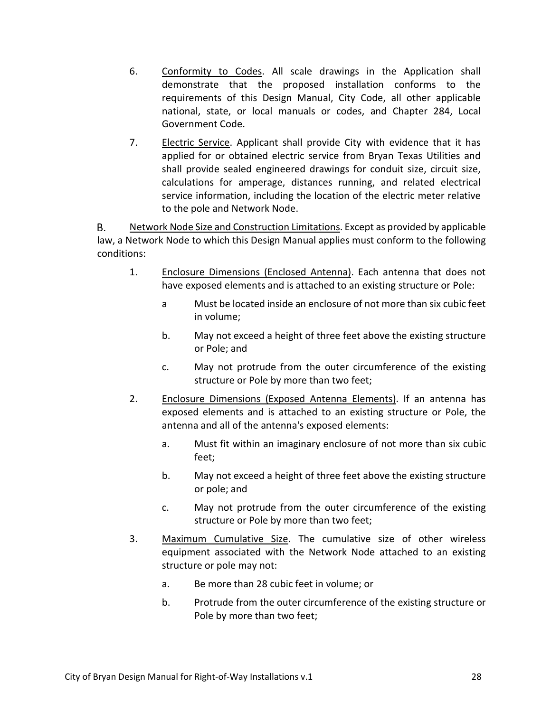- 6. Conformity to Codes. All scale drawings in the Application shall demonstrate that the proposed installation conforms to the requirements of this Design Manual, City Code, all other applicable national, state, or local manuals or codes, and Chapter 284, Local Government Code.
- 7. Electric Service. Applicant shall provide City with evidence that it has applied for or obtained electric service from Bryan Texas Utilities and shall provide sealed engineered drawings for conduit size, circuit size, calculations for amperage, distances running, and related electrical service information, including the location of the electric meter relative to the pole and Network Node.

<span id="page-30-0"></span>В. Network Node Size and Construction Limitations. Except as provided by applicable law, a Network Node to which this Design Manual applies must conform to the following conditions:

- 1. Enclosure Dimensions (Enclosed Antenna). Each antenna that does not have exposed elements and is attached to an existing structure or Pole:
	- a Must be located inside an enclosure of not more than six cubic feet in volume;
	- b. May not exceed a height of three feet above the existing structure or Pole; and
	- c. May not protrude from the outer circumference of the existing structure or Pole by more than two feet;
- 2. Enclosure Dimensions (Exposed Antenna Elements). If an antenna has exposed elements and is attached to an existing structure or Pole, the antenna and all of the antenna's exposed elements:
	- a. Must fit within an imaginary enclosure of not more than six cubic feet;
	- b. May not exceed a height of three feet above the existing structure or pole; and
	- c. May not protrude from the outer circumference of the existing structure or Pole by more than two feet;
- 3. Maximum Cumulative Size. The cumulative size of other wireless equipment associated with the Network Node attached to an existing structure or pole may not:
	- a. Be more than 28 cubic feet in volume; or
	- b. Protrude from the outer circumference of the existing structure or Pole by more than two feet;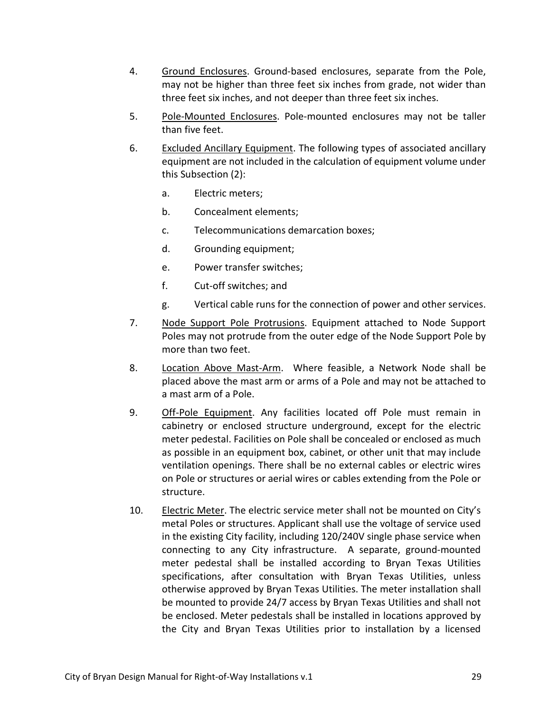- 4. Ground Enclosures. Ground-based enclosures, separate from the Pole, may not be higher than three feet six inches from grade, not wider than three feet six inches, and not deeper than three feet six inches.
- 5. Pole-Mounted Enclosures. Pole-mounted enclosures may not be taller than five feet.
- 6. Excluded Ancillary Equipment. The following types of associated ancillary equipment are not included in the calculation of equipment volume under this Subsection (2):
	- a. Electric meters;
	- b. Concealment elements;
	- c. Telecommunications demarcation boxes;
	- d. Grounding equipment;
	- e. Power transfer switches;
	- f. Cut-off switches; and
	- g. Vertical cable runs for the connection of power and other services.
- 7. Node Support Pole Protrusions. Equipment attached to Node Support Poles may not protrude from the outer edge of the Node Support Pole by more than two feet.
- 8. Location Above Mast-Arm. Where feasible, a Network Node shall be placed above the mast arm or arms of a Pole and may not be attached to a mast arm of a Pole.
- 9. Off-Pole Equipment. Any facilities located off Pole must remain in cabinetry or enclosed structure underground, except for the electric meter pedestal. Facilities on Pole shall be concealed or enclosed as much as possible in an equipment box, cabinet, or other unit that may include ventilation openings. There shall be no external cables or electric wires on Pole or structures or aerial wires or cables extending from the Pole or structure.
- 10. Electric Meter. The electric service meter shall not be mounted on City's metal Poles or structures. Applicant shall use the voltage of service used in the existing City facility, including 120/240V single phase service when connecting to any City infrastructure. A separate, ground-mounted meter pedestal shall be installed according to Bryan Texas Utilities specifications, after consultation with Bryan Texas Utilities, unless otherwise approved by Bryan Texas Utilities. The meter installation shall be mounted to provide 24/7 access by Bryan Texas Utilities and shall not be enclosed. Meter pedestals shall be installed in locations approved by the City and Bryan Texas Utilities prior to installation by a licensed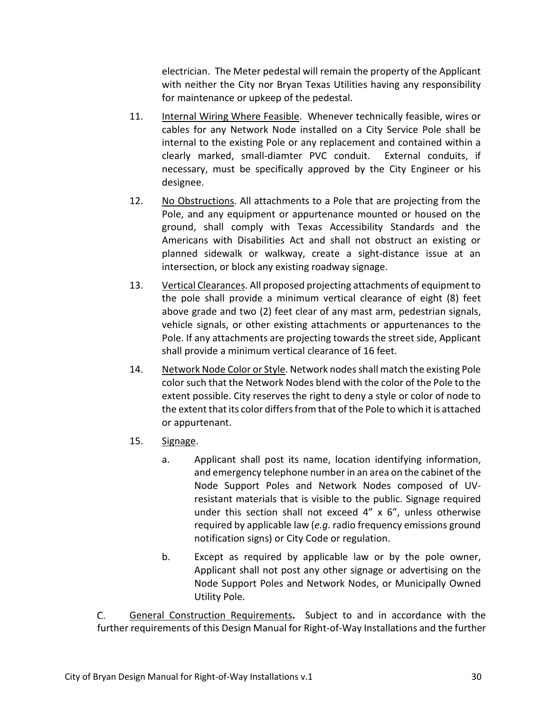electrician. The Meter pedestal will remain the property of the Applicant with neither the City nor Bryan Texas Utilities having any responsibility for maintenance or upkeep of the pedestal.

- 11. Internal Wiring Where Feasible. Whenever technically feasible, wires or cables for any Network Node installed on a City Service Pole shall be internal to the existing Pole or any replacement and contained within a clearly marked, small-diamter PVC conduit. External conduits, if necessary, must be specifically approved by the City Engineer or his designee.
- 12. No Obstructions. All attachments to a Pole that are projecting from the Pole, and any equipment or appurtenance mounted or housed on the ground, shall comply with Texas Accessibility Standards and the Americans with Disabilities Act and shall not obstruct an existing or planned sidewalk or walkway, create a sight-distance issue at an intersection, or block any existing roadway signage.
- 13. Vertical Clearances. All proposed projecting attachments of equipment to the pole shall provide a minimum vertical clearance of eight (8) feet above grade and two (2) feet clear of any mast arm, pedestrian signals, vehicle signals, or other existing attachments or appurtenances to the Pole. If any attachments are projecting towards the street side, Applicant shall provide a minimum vertical clearance of 16 feet.
- 14. Network Node Color or Style. Network nodes shall match the existing Pole color such that the Network Nodes blend with the color of the Pole to the extent possible. City reserves the right to deny a style or color of node to the extent that its color differs from that of the Pole to which it is attached or appurtenant.
- 15. Signage.
	- a. Applicant shall post its name, location identifying information, and emergency telephone number in an area on the cabinet of the Node Support Poles and Network Nodes composed of UVresistant materials that is visible to the public. Signage required under this section shall not exceed 4" x 6", unless otherwise required by applicable law (*e.g*. radio frequency emissions ground notification signs) or City Code or regulation.
	- b. Except as required by applicable law or by the pole owner, Applicant shall not post any other signage or advertising on the Node Support Poles and Network Nodes, or Municipally Owned Utility Pole.

<span id="page-32-0"></span>General Construction Requirements**.** Subject to and in accordance with the C. further requirements of this Design Manual for Right-of-Way Installations and the further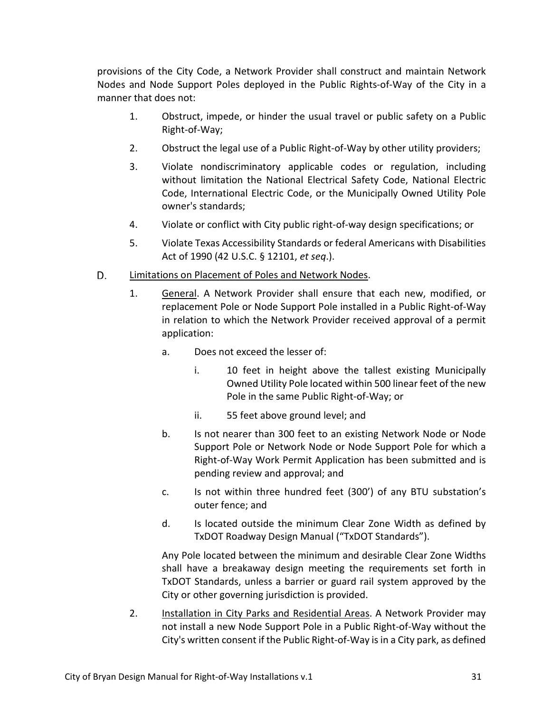provisions of the City Code, a Network Provider shall construct and maintain Network Nodes and Node Support Poles deployed in the Public Rights-of-Way of the City in a manner that does not:

- 1. Obstruct, impede, or hinder the usual travel or public safety on a Public Right-of-Way;
- 2. Obstruct the legal use of a Public Right-of-Way by other utility providers;
- 3. Violate nondiscriminatory applicable codes or regulation, including without limitation the National Electrical Safety Code, National Electric Code, International Electric Code, or the Municipally Owned Utility Pole owner's standards;
- 4. Violate or conflict with City public right-of-way design specifications; or
- 5. Violate Texas Accessibility Standards or federal Americans with Disabilities Act of 1990 (42 U.S.C. § 12101, *et seq*.).
- <span id="page-33-0"></span>D. Limitations on Placement of Poles and Network Nodes.
	- 1. General. A Network Provider shall ensure that each new, modified, or replacement Pole or Node Support Pole installed in a Public Right-of-Way in relation to which the Network Provider received approval of a permit application:
		- a. Does not exceed the lesser of:
			- i. 10 feet in height above the tallest existing Municipally Owned Utility Pole located within 500 linear feet of the new Pole in the same Public Right-of-Way; or
			- ii. 55 feet above ground level; and
		- b. Is not nearer than 300 feet to an existing Network Node or Node Support Pole or Network Node or Node Support Pole for which a Right-of-Way Work Permit Application has been submitted and is pending review and approval; and
		- c. Is not within three hundred feet (300') of any BTU substation's outer fence; and
		- d. Is located outside the minimum Clear Zone Width as defined by TxDOT Roadway Design Manual ("TxDOT Standards").

Any Pole located between the minimum and desirable Clear Zone Widths shall have a breakaway design meeting the requirements set forth in TxDOT Standards, unless a barrier or guard rail system approved by the City or other governing jurisdiction is provided.

2. Installation in City Parks and Residential Areas. A Network Provider may not install a new Node Support Pole in a Public Right-of-Way without the City's written consent if the Public Right-of-Way is in a City park, as defined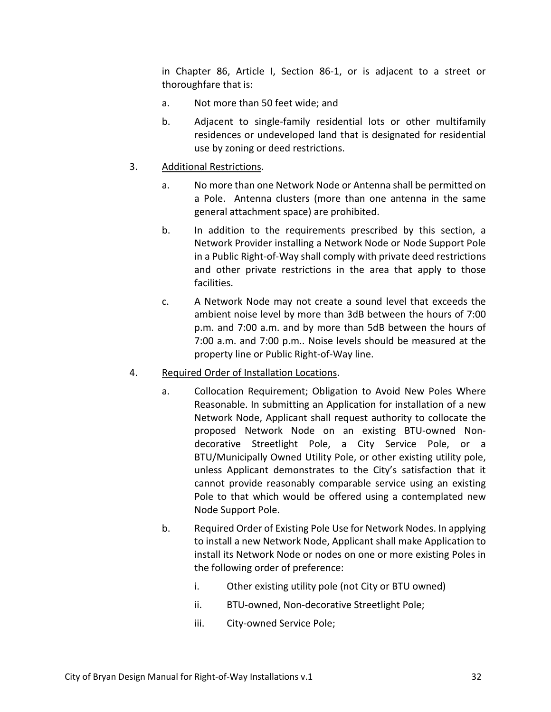in Chapter 86, Article I, Section 86-1, or is adjacent to a street or thoroughfare that is:

- a. Not more than 50 feet wide; and
- b. Adjacent to single-family residential lots or other multifamily residences or undeveloped land that is designated for residential use by zoning or deed restrictions.
- 3. Additional Restrictions.
	- a. No more than one Network Node or Antenna shall be permitted on a Pole. Antenna clusters (more than one antenna in the same general attachment space) are prohibited.
	- b. In addition to the requirements prescribed by this section, a Network Provider installing a Network Node or Node Support Pole in a Public Right-of-Way shall comply with private deed restrictions and other private restrictions in the area that apply to those facilities.
	- c. A Network Node may not create a sound level that exceeds the ambient noise level by more than 3dB between the hours of 7:00 p.m. and 7:00 a.m. and by more than 5dB between the hours of 7:00 a.m. and 7:00 p.m.. Noise levels should be measured at the property line or Public Right-of-Way line.
- 4. Required Order of Installation Locations.
	- a. Collocation Requirement; Obligation to Avoid New Poles Where Reasonable. In submitting an Application for installation of a new Network Node, Applicant shall request authority to collocate the proposed Network Node on an existing BTU-owned Nondecorative Streetlight Pole, a City Service Pole, or a BTU/Municipally Owned Utility Pole, or other existing utility pole, unless Applicant demonstrates to the City's satisfaction that it cannot provide reasonably comparable service using an existing Pole to that which would be offered using a contemplated new Node Support Pole.
	- b. Required Order of Existing Pole Use for Network Nodes. In applying to install a new Network Node, Applicant shall make Application to install its Network Node or nodes on one or more existing Poles in the following order of preference:
		- i. Other existing utility pole (not City or BTU owned)
		- ii. BTU-owned, Non-decorative Streetlight Pole;
		- iii. City-owned Service Pole;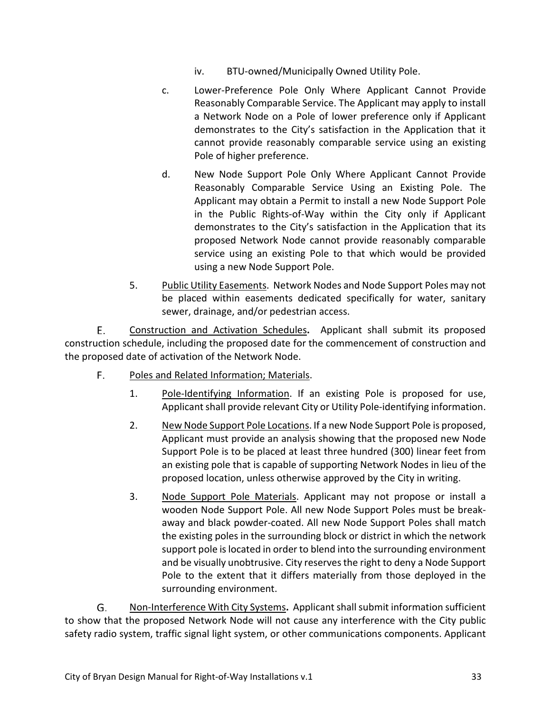- iv. BTU-owned/Municipally Owned Utility Pole.
- c. Lower-Preference Pole Only Where Applicant Cannot Provide Reasonably Comparable Service. The Applicant may apply to install a Network Node on a Pole of lower preference only if Applicant demonstrates to the City's satisfaction in the Application that it cannot provide reasonably comparable service using an existing Pole of higher preference.
- d. New Node Support Pole Only Where Applicant Cannot Provide Reasonably Comparable Service Using an Existing Pole. The Applicant may obtain a Permit to install a new Node Support Pole in the Public Rights-of-Way within the City only if Applicant demonstrates to the City's satisfaction in the Application that its proposed Network Node cannot provide reasonably comparable service using an existing Pole to that which would be provided using a new Node Support Pole.
- 5. Public Utility Easements. Network Nodes and Node Support Poles may not be placed within easements dedicated specifically for water, sanitary sewer, drainage, and/or pedestrian access.

<span id="page-35-0"></span>Е. Construction and Activation Schedules**.** Applicant shall submit its proposed construction schedule, including the proposed date for the commencement of construction and the proposed date of activation of the Network Node.

- <span id="page-35-1"></span>E. Poles and Related Information; Materials.
	- 1. Pole-Identifying Information. If an existing Pole is proposed for use, Applicant shall provide relevant City or Utility Pole-identifying information.
	- 2. New Node Support Pole Locations. If a new Node Support Pole is proposed, Applicant must provide an analysis showing that the proposed new Node Support Pole is to be placed at least three hundred (300) linear feet from an existing pole that is capable of supporting Network Nodes in lieu of the proposed location, unless otherwise approved by the City in writing.
	- 3. Node Support Pole Materials. Applicant may not propose or install a wooden Node Support Pole. All new Node Support Poles must be breakaway and black powder-coated. All new Node Support Poles shall match the existing poles in the surrounding block or district in which the network support pole is located in order to blend into the surrounding environment and be visually unobtrusive. City reserves the right to deny a Node Support Pole to the extent that it differs materially from those deployed in the surrounding environment.

<span id="page-35-2"></span>G. Non-Interference With City Systems**.** Applicant shall submit information sufficient to show that the proposed Network Node will not cause any interference with the City public safety radio system, traffic signal light system, or other communications components. Applicant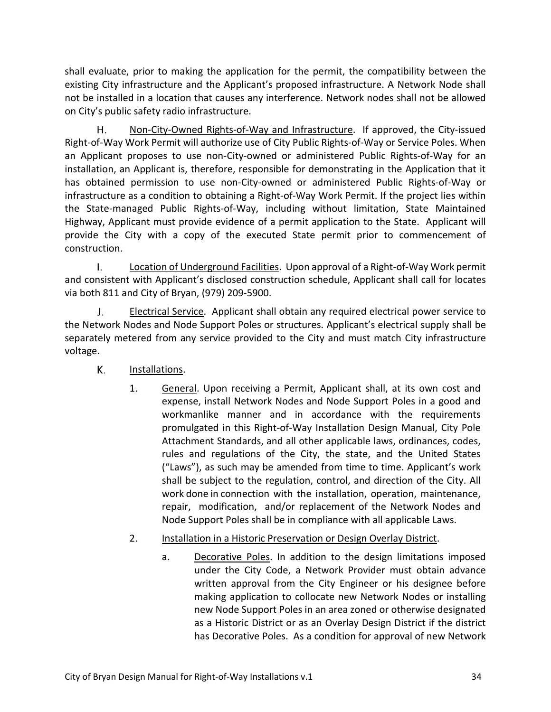shall evaluate, prior to making the application for the permit, the compatibility between the existing City infrastructure and the Applicant's proposed infrastructure. A Network Node shall not be installed in a location that causes any interference. Network nodes shall not be allowed on City's public safety radio infrastructure.

<span id="page-36-0"></span>Non-City-Owned Rights-of-Way and Infrastructure. If approved, the City-issued Η. Right-of-Way Work Permit will authorize use of City Public Rights-of-Way or Service Poles. When an Applicant proposes to use non-City-owned or administered Public Rights-of-Way for an installation, an Applicant is, therefore, responsible for demonstrating in the Application that it has obtained permission to use non-City-owned or administered Public Rights-of-Way or infrastructure as a condition to obtaining a Right-of-Way Work Permit. If the project lies within the State-managed Public Rights-of-Way, including without limitation, State Maintained Highway, Applicant must provide evidence of a permit application to the State. Applicant will provide the City with a copy of the executed State permit prior to commencement of construction.

<span id="page-36-1"></span> $\mathbf{L}$ Location of Underground Facilities. Upon approval of a Right-of-Way Work permit and consistent with Applicant's disclosed construction schedule, Applicant shall call for locates via both 811 and City of Bryan, (979) 209-5900.

<span id="page-36-2"></span> $\mathsf{J}$ . Electrical Service. Applicant shall obtain any required electrical power service to the Network Nodes and Node Support Poles or structures. Applicant's electrical supply shall be separately metered from any service provided to the City and must match City infrastructure voltage.

## <span id="page-36-3"></span>К. Installations.

- 1. General. Upon receiving a Permit, Applicant shall, at its own cost and expense, install Network Nodes and Node Support Poles in a good and workmanlike manner and in accordance with the requirements promulgated in this Right-of-Way Installation Design Manual, City Pole Attachment Standards, and all other applicable laws, ordinances, codes, rules and regulations of the City, the state, and the United States ("Laws"), as such may be amended from time to time. Applicant's work shall be subject to the regulation, control, and direction of the City. All work done in connection with the installation, operation, maintenance, repair, modification, and/or replacement of the Network Nodes and Node Support Poles shall be in compliance with all applicable Laws.
- 2. Installation in a Historic Preservation or Design Overlay District.
	- a. Decorative Poles. In addition to the design limitations imposed under the City Code, a Network Provider must obtain advance written approval from the City Engineer or his designee before making application to collocate new Network Nodes or installing new Node Support Poles in an area zoned or otherwise designated as a Historic District or as an Overlay Design District if the district has Decorative Poles. As a condition for approval of new Network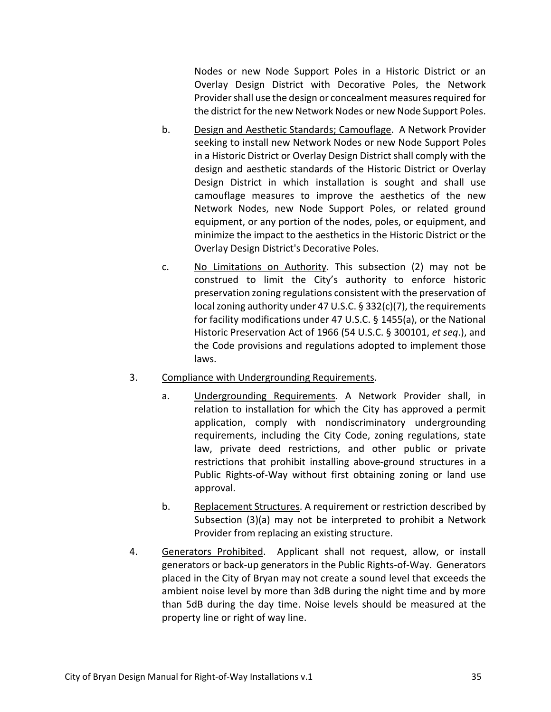Nodes or new Node Support Poles in a Historic District or an Overlay Design District with Decorative Poles, the Network Provider shall use the design or concealment measures required for the district for the new Network Nodes or new Node Support Poles.

- b. Design and Aesthetic Standards; Camouflage. A Network Provider seeking to install new Network Nodes or new Node Support Poles in a Historic District or Overlay Design District shall comply with the design and aesthetic standards of the Historic District or Overlay Design District in which installation is sought and shall use camouflage measures to improve the aesthetics of the new Network Nodes, new Node Support Poles, or related ground equipment, or any portion of the nodes, poles, or equipment, and minimize the impact to the aesthetics in the Historic District or the Overlay Design District's Decorative Poles.
- c. No Limitations on Authority. This subsection (2) may not be construed to limit the City's authority to enforce historic preservation zoning regulations consistent with the preservation of local zoning authority under 47 U.S.C. § 332(c)(7), the requirements for facility modifications under 47 U.S.C. § 1455(a), or the National Historic Preservation Act of 1966 (54 U.S.C. § 300101, *et seq*.), and the Code provisions and regulations adopted to implement those laws.
- 3. Compliance with Undergrounding Requirements.
	- a. Undergrounding Requirements. A Network Provider shall, in relation to installation for which the City has approved a permit application, comply with nondiscriminatory undergrounding requirements, including the City Code, zoning regulations, state law, private deed restrictions, and other public or private restrictions that prohibit installing above-ground structures in a Public Rights-of-Way without first obtaining zoning or land use approval.
	- b. Replacement Structures. A requirement or restriction described by Subsection (3)(a) may not be interpreted to prohibit a Network Provider from replacing an existing structure.
- 4. Generators Prohibited. Applicant shall not request, allow, or install generators or back-up generators in the Public Rights-of-Way. Generators placed in the City of Bryan may not create a sound level that exceeds the ambient noise level by more than 3dB during the night time and by more than 5dB during the day time. Noise levels should be measured at the property line or right of way line.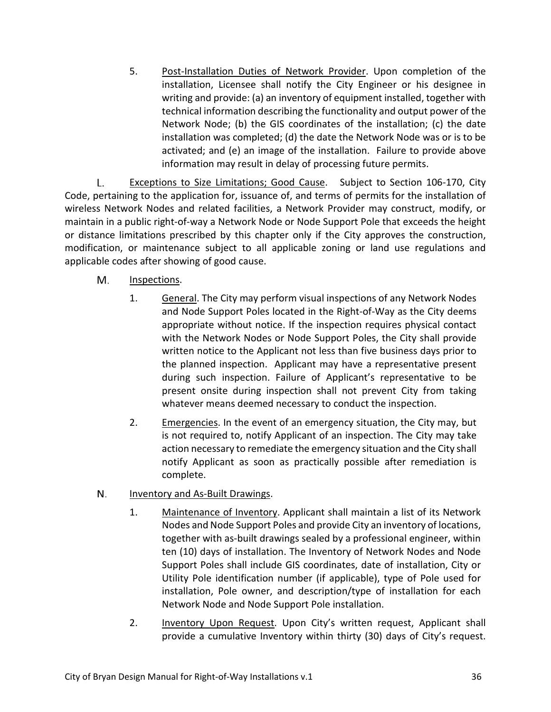5. Post-Installation Duties of Network Provider. Upon completion of the installation, Licensee shall notify the City Engineer or his designee in writing and provide: (a) an inventory of equipment installed, together with technical information describing the functionality and output power of the Network Node; (b) the GIS coordinates of the installation; (c) the date installation was completed; (d) the date the Network Node was or is to be activated; and (e) an image of the installation. Failure to provide above information may result in delay of processing future permits.

<span id="page-38-0"></span>L. Exceptions to Size Limitations; Good Cause. Subject to Section 106-170, City Code, pertaining to the application for, issuance of, and terms of permits for the installation of wireless Network Nodes and related facilities, a Network Provider may construct, modify, or maintain in a public right-of-way a Network Node or Node Support Pole that exceeds the height or distance limitations prescribed by this chapter only if the City approves the construction, modification, or maintenance subject to all applicable zoning or land use regulations and applicable codes after showing of good cause.

## <span id="page-38-1"></span>M. Inspections.

- 1. General. The City may perform visual inspections of any Network Nodes and Node Support Poles located in the Right-of-Way as the City deems appropriate without notice. If the inspection requires physical contact with the Network Nodes or Node Support Poles, the City shall provide written notice to the Applicant not less than five business days prior to the planned inspection. Applicant may have a representative present during such inspection. Failure of Applicant's representative to be present onsite during inspection shall not prevent City from taking whatever means deemed necessary to conduct the inspection.
- 2. Emergencies. In the event of an emergency situation, the City may, but is not required to, notify Applicant of an inspection. The City may take action necessary to remediate the emergency situation and the City shall notify Applicant as soon as practically possible after remediation is complete.

## <span id="page-38-2"></span>N. Inventory and As-Built Drawings.

- 1. Maintenance of Inventory. Applicant shall maintain a list of its Network Nodes and Node Support Poles and provide City an inventory of locations, together with as-built drawings sealed by a professional engineer, within ten (10) days of installation. The Inventory of Network Nodes and Node Support Poles shall include GIS coordinates, date of installation, City or Utility Pole identification number (if applicable), type of Pole used for installation, Pole owner, and description/type of installation for each Network Node and Node Support Pole installation.
- 2. Inventory Upon Request. Upon City's written request, Applicant shall provide a cumulative Inventory within thirty (30) days of City's request.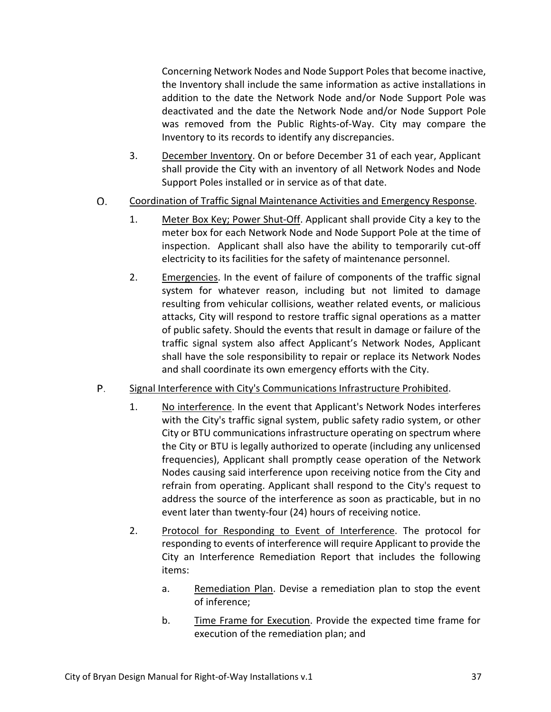Concerning Network Nodes and Node Support Poles that become inactive, the Inventory shall include the same information as active installations in addition to the date the Network Node and/or Node Support Pole was deactivated and the date the Network Node and/or Node Support Pole was removed from the Public Rights-of-Way. City may compare the Inventory to its records to identify any discrepancies.

- 3. December Inventory. On or before December 31 of each year, Applicant shall provide the City with an inventory of all Network Nodes and Node Support Poles installed or in service as of that date.
- <span id="page-39-0"></span>О. Coordination of Traffic Signal Maintenance Activities and Emergency Response.
	- 1. Meter Box Key; Power Shut-Off. Applicant shall provide City a key to the meter box for each Network Node and Node Support Pole at the time of inspection. Applicant shall also have the ability to temporarily cut-off electricity to its facilities for the safety of maintenance personnel.
	- 2. Emergencies. In the event of failure of components of the traffic signal system for whatever reason, including but not limited to damage resulting from vehicular collisions, weather related events, or malicious attacks, City will respond to restore traffic signal operations as a matter of public safety. Should the events that result in damage or failure of the traffic signal system also affect Applicant's Network Nodes, Applicant shall have the sole responsibility to repair or replace its Network Nodes and shall coordinate its own emergency efforts with the City.
- <span id="page-39-1"></span>Ρ. Signal Interference with City's Communications Infrastructure Prohibited.
	- 1. No interference. In the event that Applicant's Network Nodes interferes with the City's traffic signal system, public safety radio system, or other City or BTU communications infrastructure operating on spectrum where the City or BTU is legally authorized to operate (including any unlicensed frequencies), Applicant shall promptly cease operation of the Network Nodes causing said interference upon receiving notice from the City and refrain from operating. Applicant shall respond to the City's request to address the source of the interference as soon as practicable, but in no event later than twenty-four (24) hours of receiving notice.
	- 2. Protocol for Responding to Event of Interference. The protocol for responding to events of interference will require Applicant to provide the City an Interference Remediation Report that includes the following items:
		- a. Remediation Plan. Devise a remediation plan to stop the event of inference;
		- b. Time Frame for Execution. Provide the expected time frame for execution of the remediation plan; and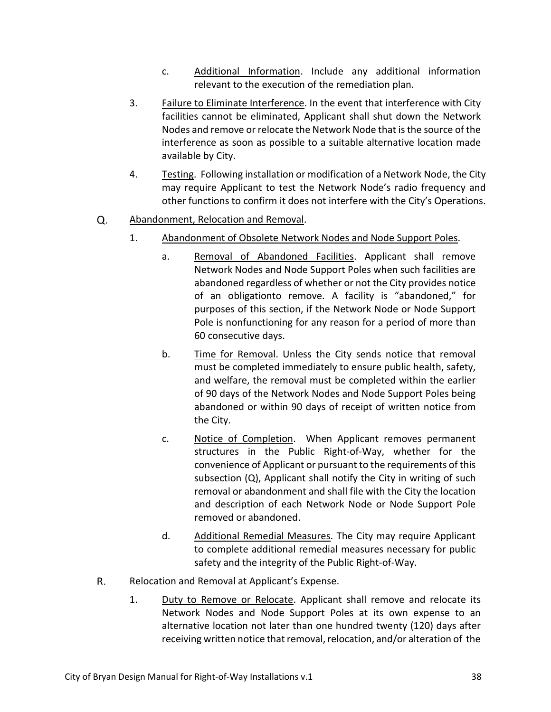- c. Additional Information. Include any additional information relevant to the execution of the remediation plan.
- 3. Failure to Eliminate Interference. In the event that interference with City facilities cannot be eliminated, Applicant shall shut down the Network Nodes and remove or relocate the Network Node that is the source of the interference as soon as possible to a suitable alternative location made available by City.
- 4. Testing. Following installation or modification of a Network Node, the City may require Applicant to test the Network Node's radio frequency and other functions to confirm it does not interfere with the City's Operations.

### <span id="page-40-0"></span>Q. Abandonment, Relocation and Removal.

- 1. Abandonment of Obsolete Network Nodes and Node Support Poles.
	- a. Removal of Abandoned Facilities. Applicant shall remove Network Nodes and Node Support Poles when such facilities are abandoned regardless of whether or not the City provides notice of an obligationto remove. A facility is "abandoned," for purposes of this section, if the Network Node or Node Support Pole is nonfunctioning for any reason for a period of more than 60 consecutive days.
	- b. Time for Removal. Unless the City sends notice that removal must be completed immediately to ensure public health, safety, and welfare, the removal must be completed within the earlier of 90 days of the Network Nodes and Node Support Poles being abandoned or within 90 days of receipt of written notice from the City.
	- c. Notice of Completion. When Applicant removes permanent structures in the Public Right-of-Way, whether for the convenience of Applicant or pursuant to the requirements of this subsection (Q), Applicant shall notify the City in writing of such removal or abandonment and shall file with the City the location and description of each Network Node or Node Support Pole removed or abandoned.
	- d. Additional Remedial Measures. The City may require Applicant to complete additional remedial measures necessary for public safety and the integrity of the Public Right-of-Way.

#### <span id="page-40-1"></span>R. Relocation and Removal at Applicant's Expense.

1. Duty to Remove or Relocate. Applicant shall remove and relocate its Network Nodes and Node Support Poles at its own expense to an alternative location not later than one hundred twenty (120) days after receiving written notice that removal, relocation, and/or alteration of the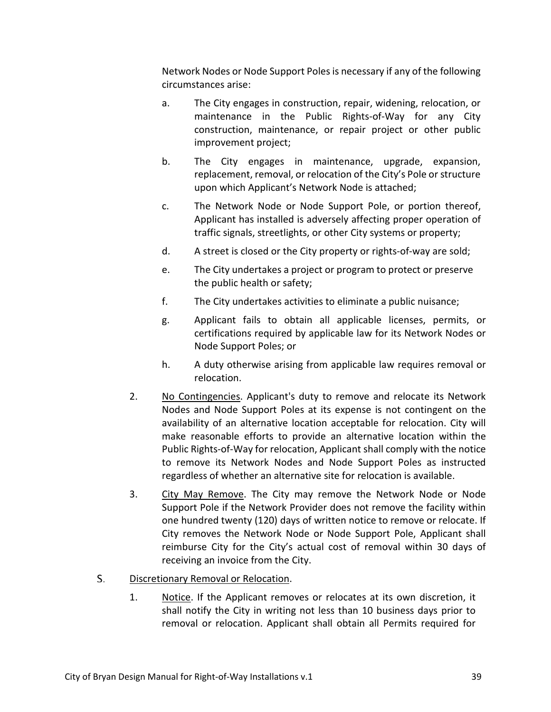Network Nodes or Node Support Poles is necessary if any of the following circumstances arise:

- a. The City engages in construction, repair, widening, relocation, or maintenance in the Public Rights-of-Way for any City construction, maintenance, or repair project or other public improvement project;
- b. The City engages in maintenance, upgrade, expansion, replacement, removal, or relocation of the City's Pole or structure upon which Applicant's Network Node is attached;
- c. The Network Node or Node Support Pole, or portion thereof, Applicant has installed is adversely affecting proper operation of traffic signals, streetlights, or other City systems or property;
- d. A street is closed or the City property or rights-of-way are sold;
- e. The City undertakes a project or program to protect or preserve the public health or safety;
- f. The City undertakes activities to eliminate a public nuisance;
- g. Applicant fails to obtain all applicable licenses, permits, or certifications required by applicable law for its Network Nodes or Node Support Poles; or
- h. A duty otherwise arising from applicable law requires removal or relocation.
- 2. No Contingencies. Applicant's duty to remove and relocate its Network Nodes and Node Support Poles at its expense is not contingent on the availability of an alternative location acceptable for relocation. City will make reasonable efforts to provide an alternative location within the Public Rights-of-Way for relocation, Applicant shall comply with the notice to remove its Network Nodes and Node Support Poles as instructed regardless of whether an alternative site for relocation is available.
- 3. City May Remove. The City may remove the Network Node or Node Support Pole if the Network Provider does not remove the facility within one hundred twenty (120) days of written notice to remove or relocate. If City removes the Network Node or Node Support Pole, Applicant shall reimburse City for the City's actual cost of removal within 30 days of receiving an invoice from the City.
- <span id="page-41-0"></span>S. Discretionary Removal or Relocation.
	- 1. Notice. If the Applicant removes or relocates at its own discretion, it shall notify the City in writing not less than 10 business days prior to removal or relocation. Applicant shall obtain all Permits required for